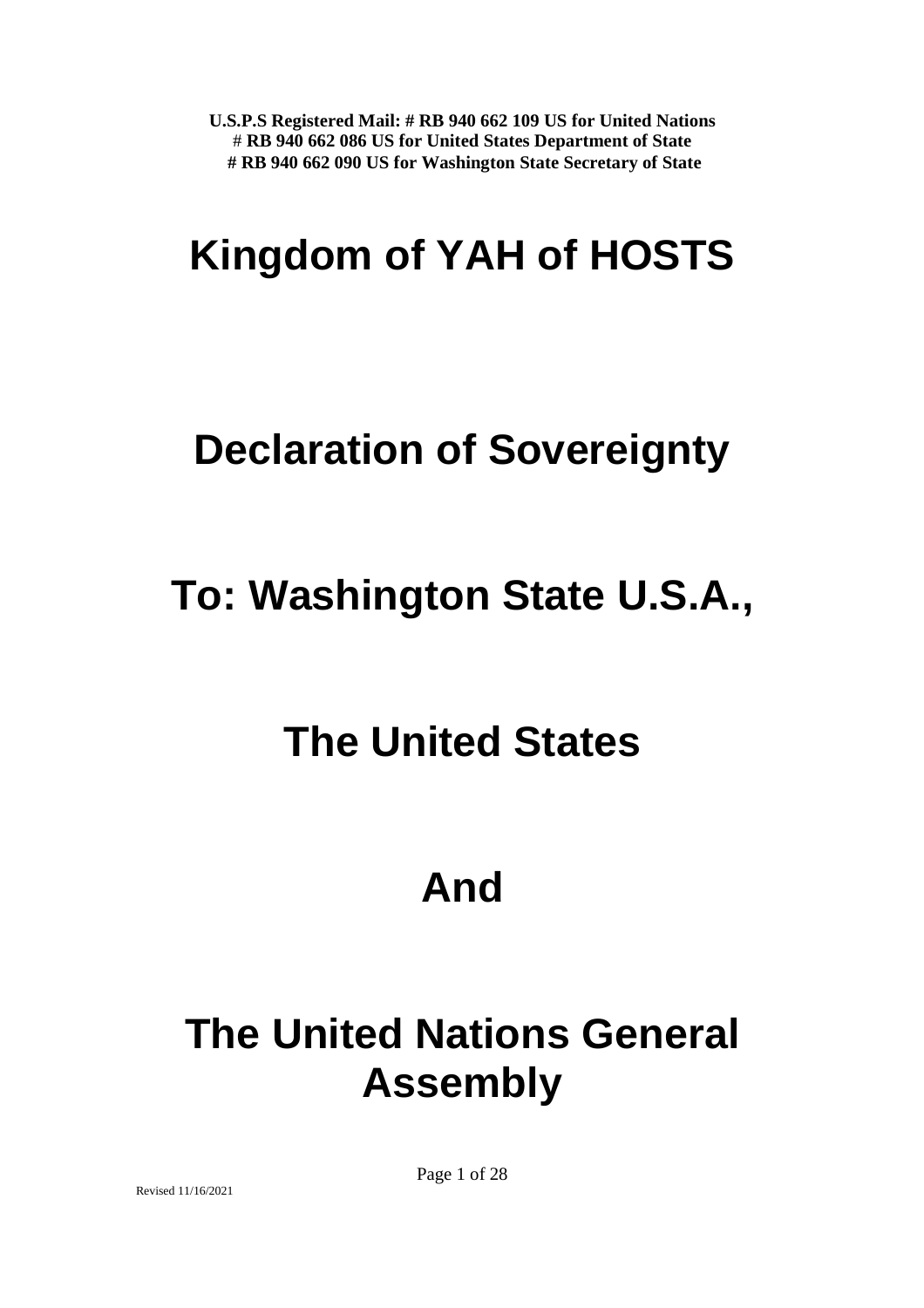# **Kingdom of YAH of HOSTS**

## **Declaration of Sovereignty**

## **To: Washington State U.S.A.,**

## **The United States**

## **And**

# **The United Nations General Assembly**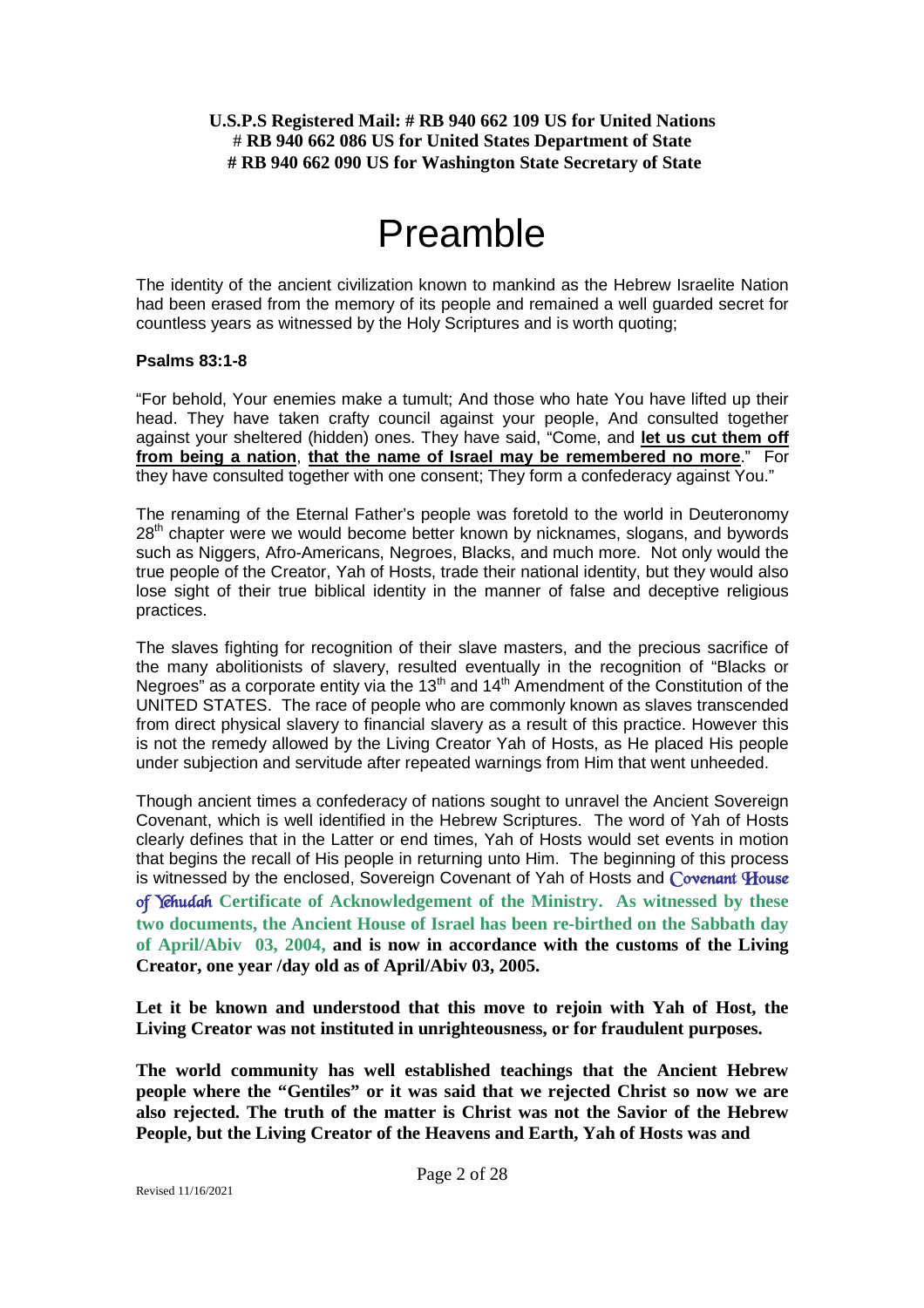## Preamble

The identity of the ancient civilization known to mankind as the Hebrew Israelite Nation had been erased from the memory of its people and remained a well guarded secret for countless years as witnessed by the Holy Scriptures and is worth quoting;

### **Psalms 83:1-8**

"For behold, Your enemies make a tumult; And those who hate You have lifted up their head. They have taken crafty council against your people, And consulted together against your sheltered (hidden) ones. They have said, "Come, and **let us cut them off from being a nation**, **that the name of Israel may be remembered no more**." For they have consulted together with one consent; They form a confederacy against You."

The renaming of the Eternal Father's people was foretold to the world in Deuteronomy 28<sup>th</sup> chapter were we would become better known by nicknames, slogans, and bywords such as Niggers, Afro-Americans, Negroes, Blacks, and much more. Not only would the true people of the Creator, Yah of Hosts, trade their national identity, but they would also lose sight of their true biblical identity in the manner of false and deceptive religious practices.

The slaves fighting for recognition of their slave masters, and the precious sacrifice of the many abolitionists of slavery, resulted eventually in the recognition of "Blacks or Negroes" as a corporate entity via the  $13<sup>th</sup>$  and  $14<sup>th</sup>$  Amendment of the Constitution of the UNITED STATES. The race of people who are commonly known as slaves transcended from direct physical slavery to financial slavery as a result of this practice. However this is not the remedy allowed by the Living Creator Yah of Hosts, as He placed His people under subjection and servitude after repeated warnings from Him that went unheeded.

Though ancient times a confederacy of nations sought to unravel the Ancient Sovereign Covenant, which is well identified in the Hebrew Scriptures. The word of Yah of Hosts clearly defines that in the Latter or end times, Yah of Hosts would set events in motion that begins the recall of His people in returning unto Him. The beginning of this process is witnessed by the enclosed, Sovereign Covenant of Yah of Hosts and *Covenant House of Yehudah* **Certificate of Acknowledgement of the Ministry. As witnessed by these two documents, the Ancient House of Israel has been re-birthed on the Sabbath day of April/Abiv 03, 2004, and is now in accordance with the customs of the Living Creator, one year /day old as of April/Abiv 03, 2005.**

**Let it be known and understood that this move to rejoin with Yah of Host, the Living Creator was not instituted in unrighteousness, or for fraudulent purposes.**

**The world community has well established teachings that the Ancient Hebrew people where the "Gentiles" or it was said that we rejected Christ so now we are also rejected. The truth of the matter is Christ was not the Savior of the Hebrew People, but the Living Creator of the Heavens and Earth, Yah of Hosts was and**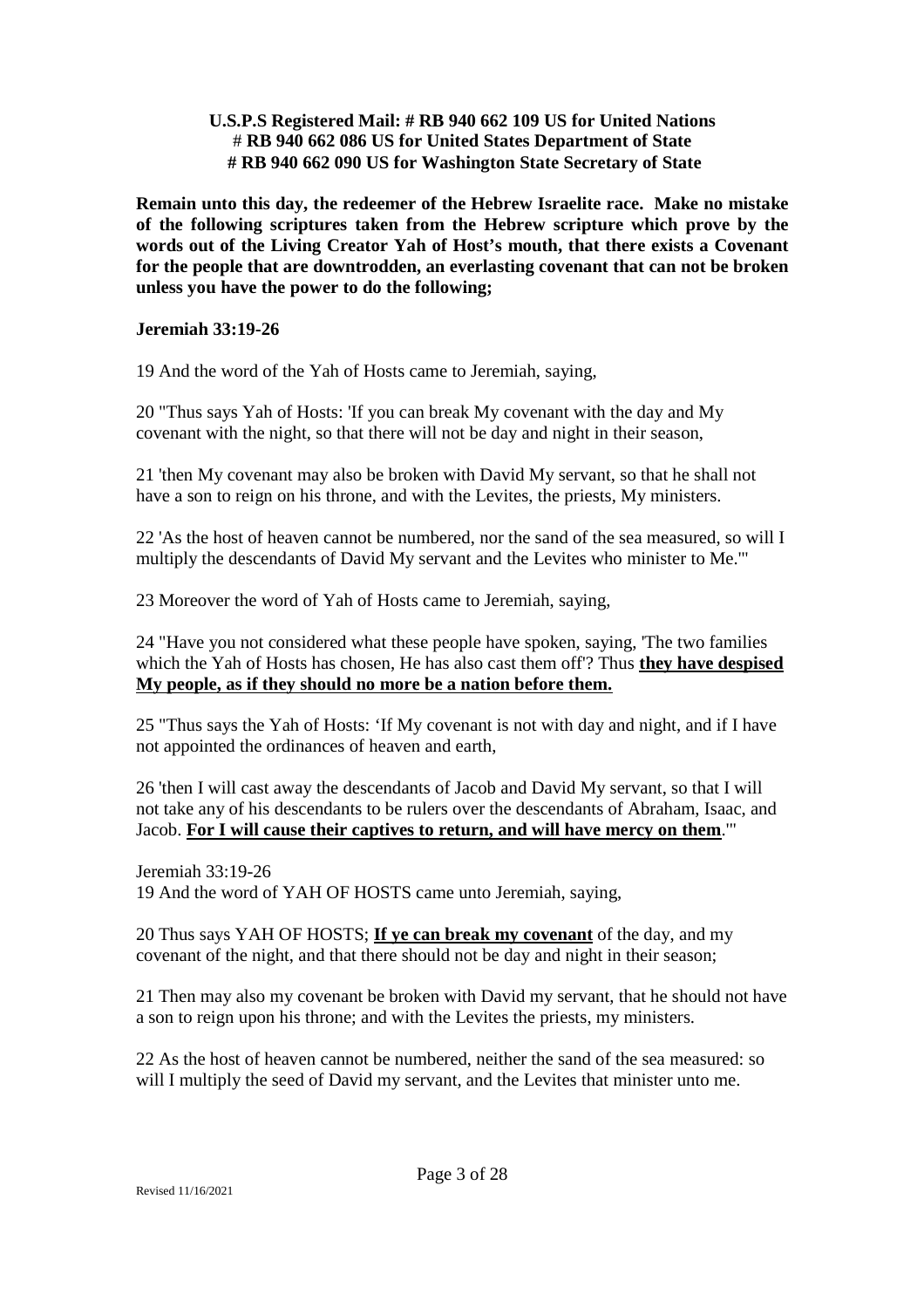**Remain unto this day, the redeemer of the Hebrew Israelite race. Make no mistake of the following scriptures taken from the Hebrew scripture which prove by the words out of the Living Creator Yah of Host's mouth, that there exists a Covenant for the people that are downtrodden, an everlasting covenant that can not be broken unless you have the power to do the following;**

### **Jeremiah 33:19-26**

19 And the word of the Yah of Hosts came to Jeremiah, saying,

20 "Thus says Yah of Hosts: 'If you can break My covenant with the day and My covenant with the night, so that there will not be day and night in their season,

21 'then My covenant may also be broken with David My servant, so that he shall not have a son to reign on his throne, and with the Levites, the priests, My ministers.

22 'As the host of heaven cannot be numbered, nor the sand of the sea measured, so will I multiply the descendants of David My servant and the Levites who minister to Me.'"

23 Moreover the word of Yah of Hosts came to Jeremiah, saying,

24 "Have you not considered what these people have spoken, saying, 'The two families which the Yah of Hosts has chosen, He has also cast them off'? Thus **they have despised My people, as if they should no more be a nation before them.**

25 "Thus says the Yah of Hosts: 'If My covenant is not with day and night, and if I have not appointed the ordinances of heaven and earth,

26 'then I will cast away the descendants of Jacob and David My servant, so that I will not take any of his descendants to be rulers over the descendants of Abraham, Isaac, and Jacob. **For I will cause their captives to return, and will have mercy on them**.'"

Jeremiah 33:19-26 19 And the word of YAH OF HOSTS came unto Jeremiah, saying,

20 Thus says YAH OF HOSTS; **If ye can break my covenant** of the day, and my covenant of the night, and that there should not be day and night in their season;

21 Then may also my covenant be broken with David my servant, that he should not have a son to reign upon his throne; and with the Levites the priests, my ministers.

22 As the host of heaven cannot be numbered, neither the sand of the sea measured: so will I multiply the seed of David my servant, and the Levites that minister unto me.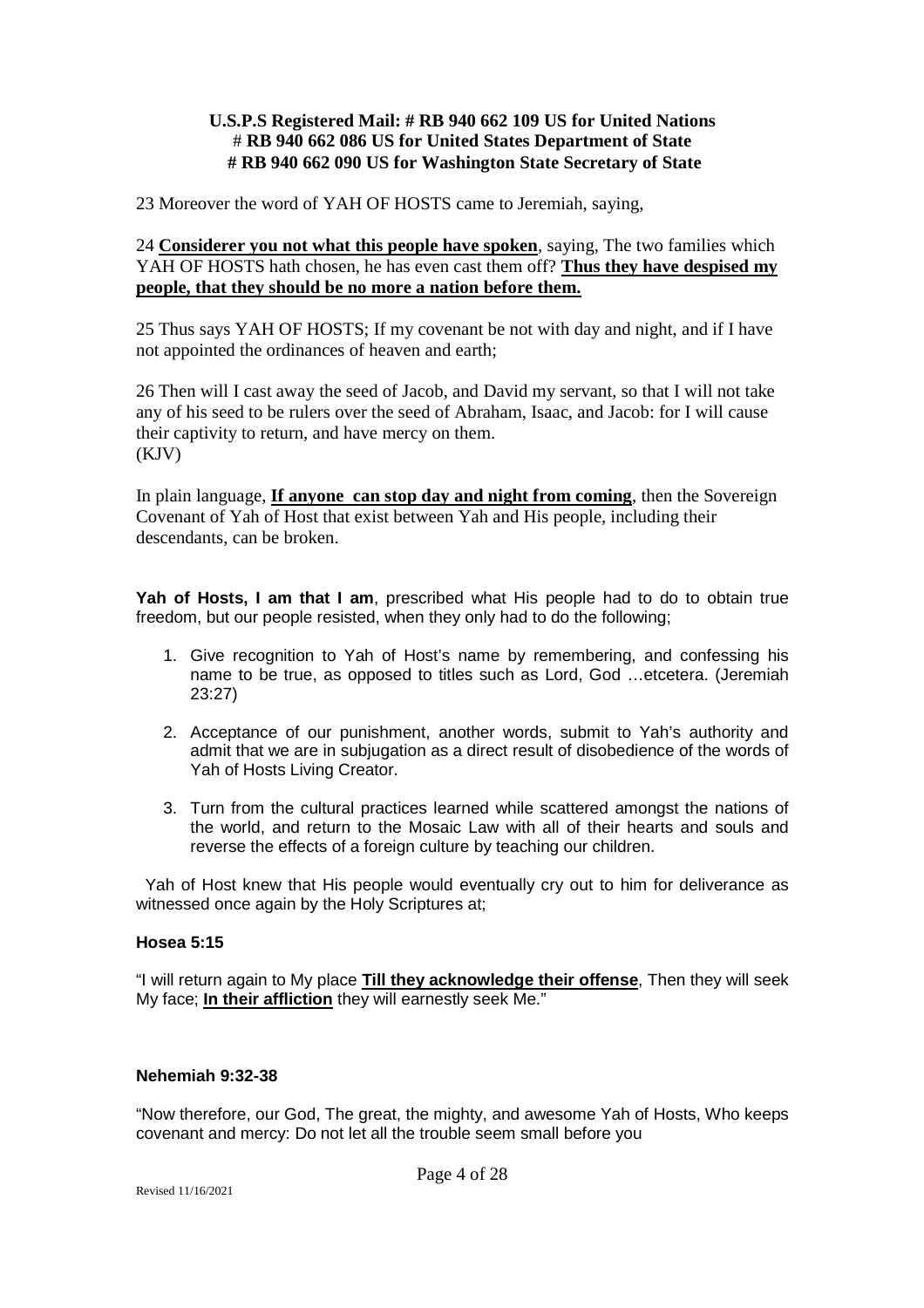23 Moreover the word of YAH OF HOSTS came to Jeremiah, saying,

24 **Considerer you not what this people have spoken**, saying, The two families which YAH OF HOSTS hath chosen, he has even cast them off? **Thus they have despised my people, that they should be no more a nation before them.**

25 Thus says YAH OF HOSTS; If my covenant be not with day and night, and if I have not appointed the ordinances of heaven and earth;

26 Then will I cast away the seed of Jacob, and David my servant, so that I will not take any of his seed to be rulers over the seed of Abraham, Isaac, and Jacob: for I will cause their captivity to return, and have mercy on them. (KJV)

In plain language, **If anyone can stop day and night from coming**, then the Sovereign Covenant of Yah of Host that exist between Yah and His people, including their descendants, can be broken.

**Yah of Hosts, I am that I am**, prescribed what His people had to do to obtain true freedom, but our people resisted, when they only had to do the following;

- 1. Give recognition to Yah of Host's name by remembering, and confessing his name to be true, as opposed to titles such as Lord, God …etcetera. (Jeremiah 23:27)
- 2. Acceptance of our punishment, another words, submit to Yah's authority and admit that we are in subjugation as a direct result of disobedience of the words of Yah of Hosts Living Creator.
- 3. Turn from the cultural practices learned while scattered amongst the nations of the world, and return to the Mosaic Law with all of their hearts and souls and reverse the effects of a foreign culture by teaching our children.

Yah of Host knew that His people would eventually cry out to him for deliverance as witnessed once again by the Holy Scriptures at;

### **Hosea 5:15**

"I will return again to My place **Till they acknowledge their offense**, Then they will seek My face; **In their affliction** they will earnestly seek Me."

### **Nehemiah 9:32-38**

"Now therefore, our God, The great, the mighty, and awesome Yah of Hosts, Who keeps covenant and mercy: Do not let all the trouble seem small before you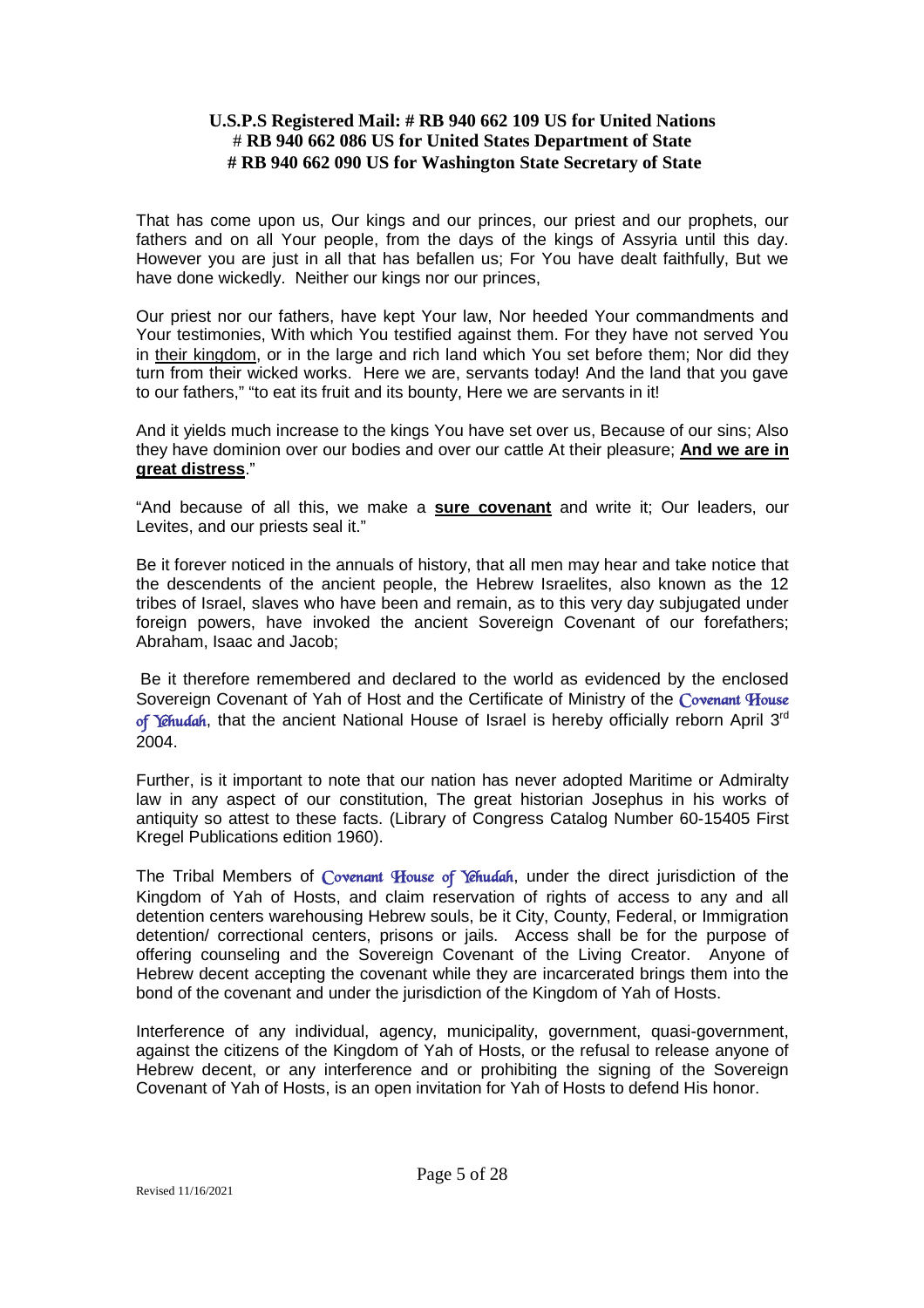That has come upon us, Our kings and our princes, our priest and our prophets, our fathers and on all Your people, from the days of the kings of Assyria until this day. However you are just in all that has befallen us; For You have dealt faithfully, But we have done wickedly. Neither our kings nor our princes,

Our priest nor our fathers, have kept Your law, Nor heeded Your commandments and Your testimonies, With which You testified against them. For they have not served You in their kingdom, or in the large and rich land which You set before them; Nor did they turn from their wicked works. Here we are, servants today! And the land that you gave to our fathers," "to eat its fruit and its bounty, Here we are servants in it!

And it yields much increase to the kings You have set over us, Because of our sins; Also they have dominion over our bodies and over our cattle At their pleasure; **And we are in great distress**."

"And because of all this, we make a **sure covenant** and write it; Our leaders, our Levites, and our priests seal it."

Be it forever noticed in the annuals of history, that all men may hear and take notice that the descendents of the ancient people, the Hebrew Israelites, also known as the 12 tribes of Israel, slaves who have been and remain, as to this very day subjugated under foreign powers, have invoked the ancient Sovereign Covenant of our forefathers; Abraham, Isaac and Jacob;

Be it therefore remembered and declared to the world as evidenced by the enclosed Sovereign Covenant of Yah of Host and the Certificate of Ministry of the *Covenant House of Yehudah*, that the ancient National House of Israel is hereby officially reborn April 3rd 2004.

Further, is it important to note that our nation has never adopted Maritime or Admiralty law in any aspect of our constitution, The great historian Josephus in his works of antiquity so attest to these facts. (Library of Congress Catalog Number 60-15405 First Kregel Publications edition 1960).

The Tribal Members of *Covenant House of Yehudah*, under the direct jurisdiction of the Kingdom of Yah of Hosts, and claim reservation of rights of access to any and all detention centers warehousing Hebrew souls, be it City, County, Federal, or Immigration detention/ correctional centers, prisons or jails. Access shall be for the purpose of offering counseling and the Sovereign Covenant of the Living Creator. Anyone of Hebrew decent accepting the covenant while they are incarcerated brings them into the bond of the covenant and under the jurisdiction of the Kingdom of Yah of Hosts.

Interference of any individual, agency, municipality, government, quasi-government, against the citizens of the Kingdom of Yah of Hosts, or the refusal to release anyone of Hebrew decent, or any interference and or prohibiting the signing of the Sovereign Covenant of Yah of Hosts, is an open invitation for Yah of Hosts to defend His honor.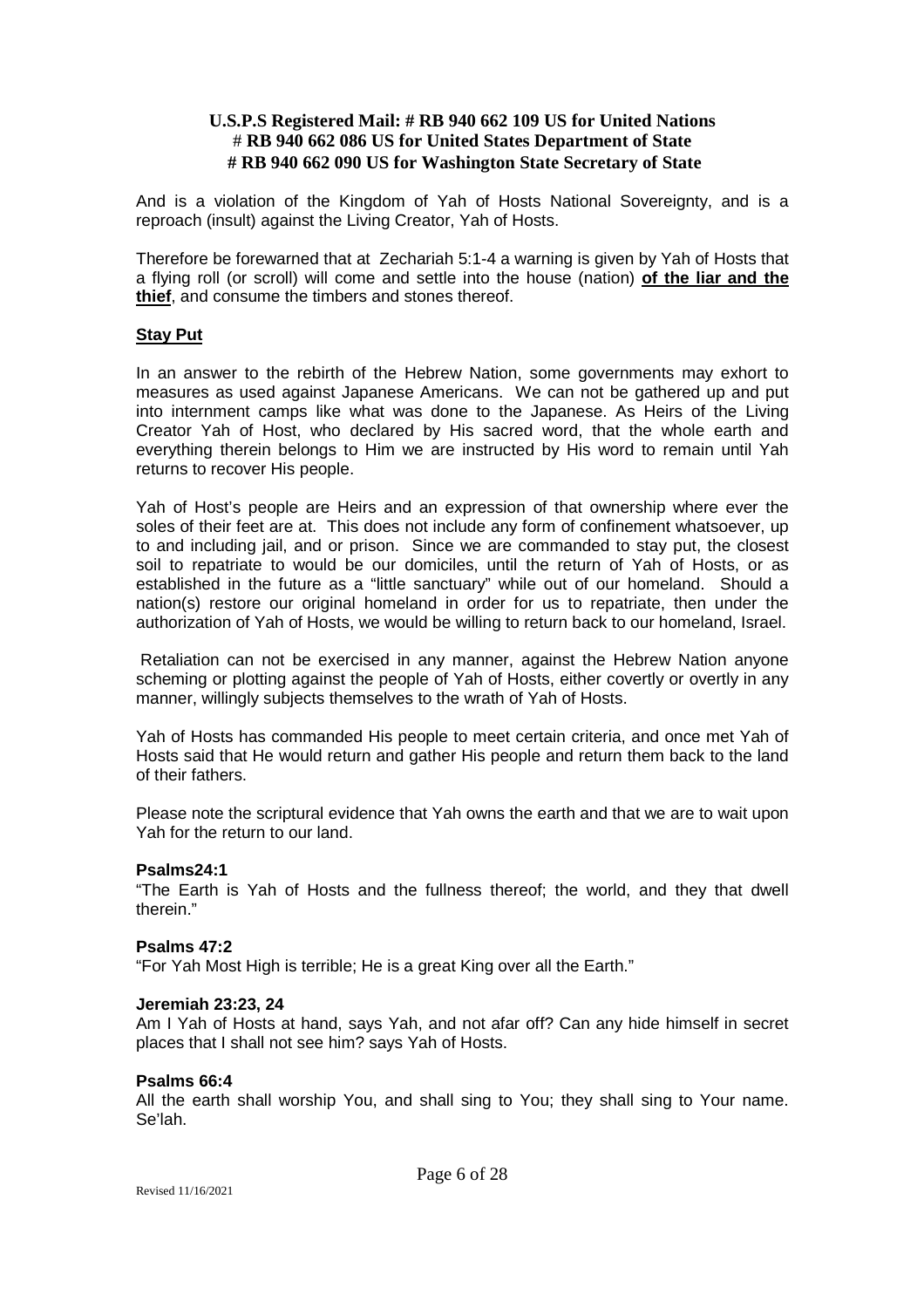And is a violation of the Kingdom of Yah of Hosts National Sovereignty, and is a reproach (insult) against the Living Creator, Yah of Hosts.

Therefore be forewarned that at Zechariah 5:1-4 a warning is given by Yah of Hosts that a flying roll (or scroll) will come and settle into the house (nation) **of the liar and the thief**, and consume the timbers and stones thereof.

### **Stay Put**

In an answer to the rebirth of the Hebrew Nation, some governments may exhort to measures as used against Japanese Americans. We can not be gathered up and put into internment camps like what was done to the Japanese. As Heirs of the Living Creator Yah of Host, who declared by His sacred word, that the whole earth and everything therein belongs to Him we are instructed by His word to remain until Yah returns to recover His people.

Yah of Host's people are Heirs and an expression of that ownership where ever the soles of their feet are at. This does not include any form of confinement whatsoever, up to and including jail, and or prison. Since we are commanded to stay put, the closest soil to repatriate to would be our domiciles, until the return of Yah of Hosts, or as established in the future as a "little sanctuary" while out of our homeland. Should a nation(s) restore our original homeland in order for us to repatriate, then under the authorization of Yah of Hosts, we would be willing to return back to our homeland, Israel.

Retaliation can not be exercised in any manner, against the Hebrew Nation anyone scheming or plotting against the people of Yah of Hosts, either covertly or overtly in any manner, willingly subjects themselves to the wrath of Yah of Hosts.

Yah of Hosts has commanded His people to meet certain criteria, and once met Yah of Hosts said that He would return and gather His people and return them back to the land of their fathers.

Please note the scriptural evidence that Yah owns the earth and that we are to wait upon Yah for the return to our land.

### **Psalms24:1**

"The Earth is Yah of Hosts and the fullness thereof; the world, and they that dwell therein."

### **Psalms 47:2**

"For Yah Most High is terrible; He is a great King over all the Earth."

### **Jeremiah 23:23, 24**

Am I Yah of Hosts at hand, says Yah, and not afar off? Can any hide himself in secret places that I shall not see him? says Yah of Hosts.

### **Psalms 66:4**

All the earth shall worship You, and shall sing to You; they shall sing to Your name. Se'lah.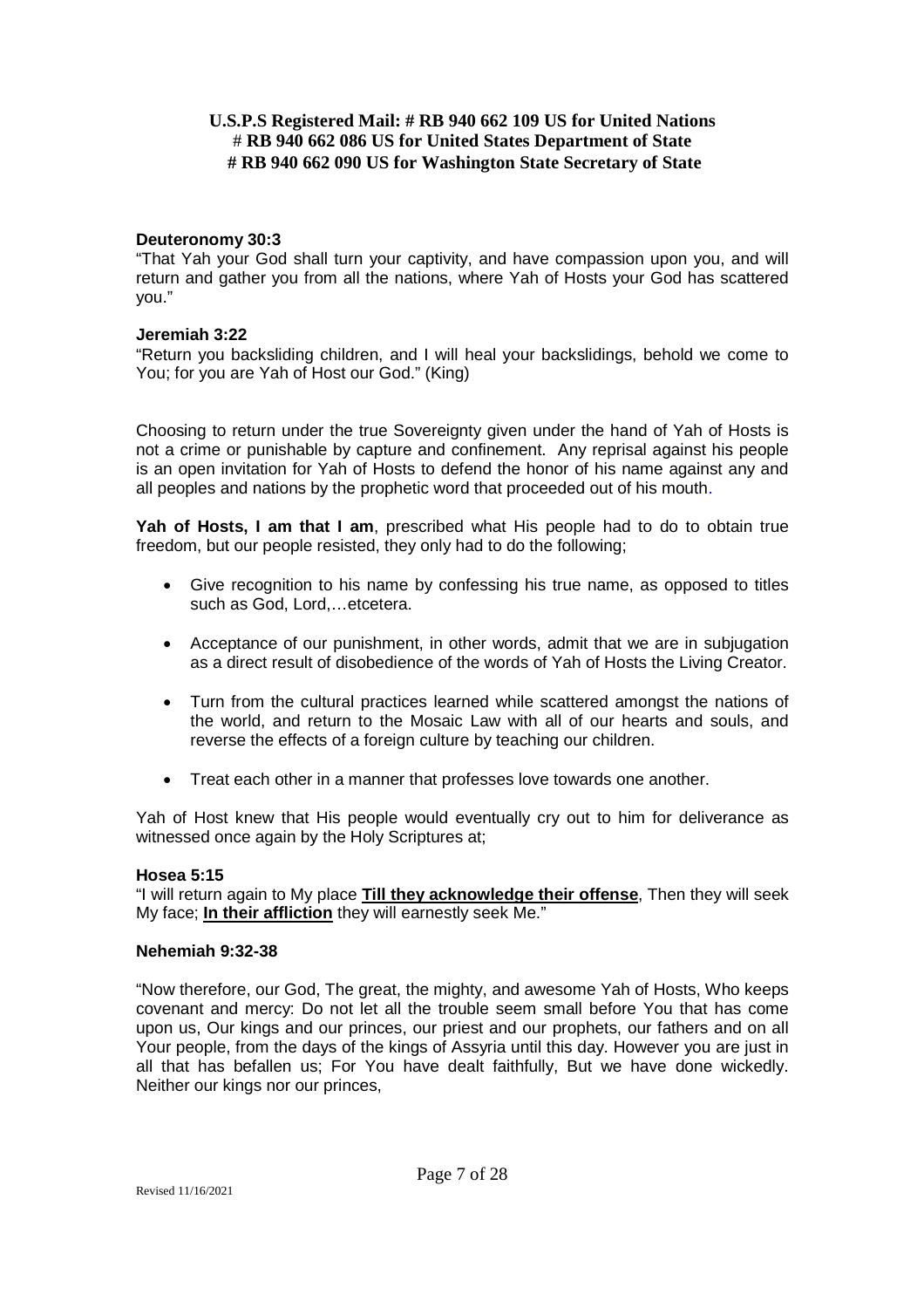### **Deuteronomy 30:3**

"That Yah your God shall turn your captivity, and have compassion upon you, and will return and gather you from all the nations, where Yah of Hosts your God has scattered you."

### **Jeremiah 3:22**

"Return you backsliding children, and I will heal your backslidings, behold we come to You; for you are Yah of Host our God." (King)

Choosing to return under the true Sovereignty given under the hand of Yah of Hosts is not a crime or punishable by capture and confinement. Any reprisal against his people is an open invitation for Yah of Hosts to defend the honor of his name against any and all peoples and nations by the prophetic word that proceeded out of his mouth.

**Yah of Hosts, I am that I am**, prescribed what His people had to do to obtain true freedom, but our people resisted, they only had to do the following;

- Give recognition to his name by confessing his true name, as opposed to titles such as God, Lord,…etcetera.
- Acceptance of our punishment, in other words, admit that we are in subjugation as a direct result of disobedience of the words of Yah of Hosts the Living Creator.
- Turn from the cultural practices learned while scattered amongst the nations of the world, and return to the Mosaic Law with all of our hearts and souls, and reverse the effects of a foreign culture by teaching our children.
- Treat each other in a manner that professes love towards one another.

Yah of Host knew that His people would eventually cry out to him for deliverance as witnessed once again by the Holy Scriptures at;

### **Hosea 5:15**

"I will return again to My place **Till they acknowledge their offense**, Then they will seek My face; **In their affliction** they will earnestly seek Me."

### **Nehemiah 9:32-38**

"Now therefore, our God, The great, the mighty, and awesome Yah of Hosts, Who keeps covenant and mercy: Do not let all the trouble seem small before You that has come upon us, Our kings and our princes, our priest and our prophets, our fathers and on all Your people, from the days of the kings of Assyria until this day. However you are just in all that has befallen us; For You have dealt faithfully, But we have done wickedly. Neither our kings nor our princes,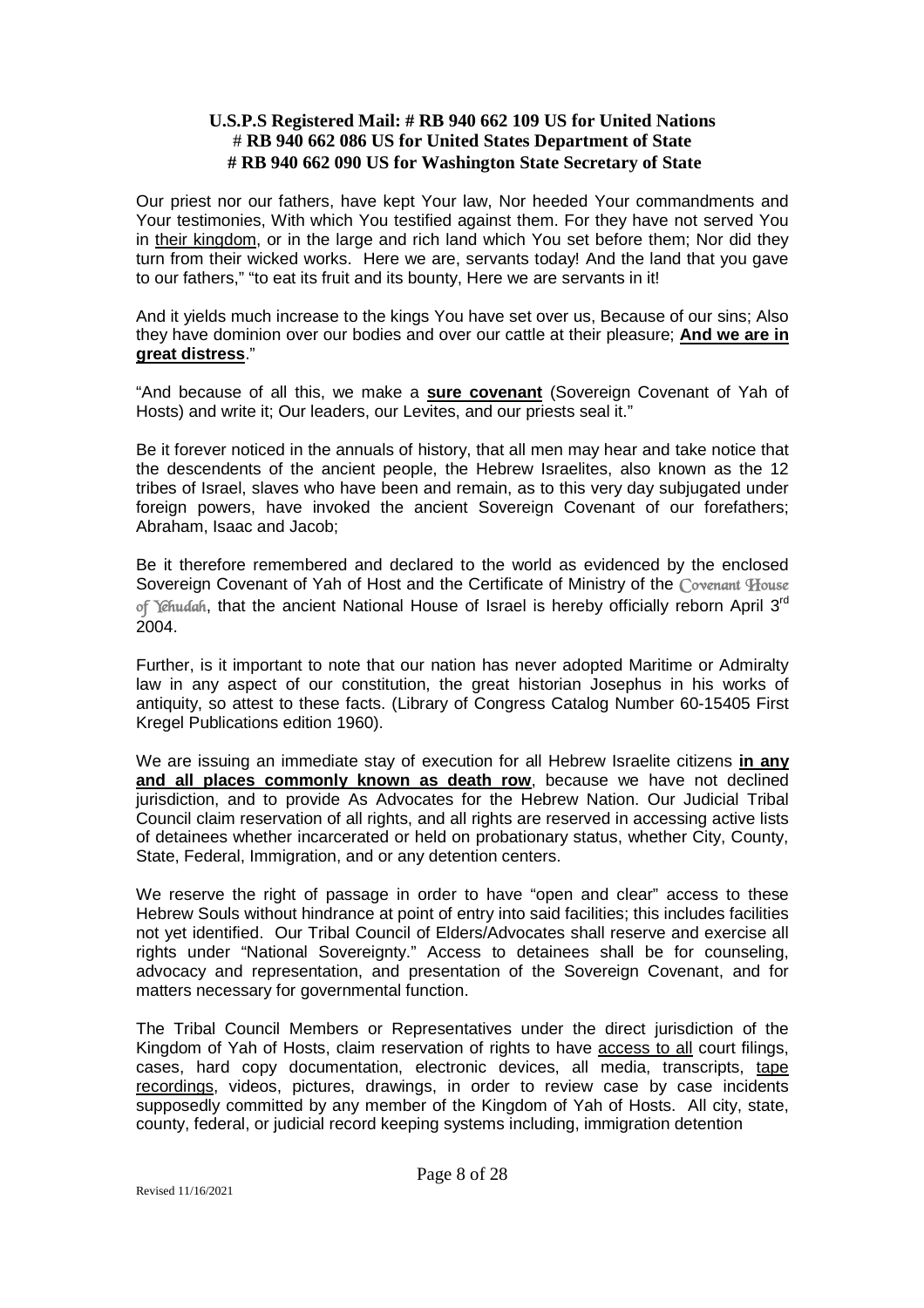Our priest nor our fathers, have kept Your law, Nor heeded Your commandments and Your testimonies, With which You testified against them. For they have not served You in their kingdom, or in the large and rich land which You set before them; Nor did they turn from their wicked works. Here we are, servants today! And the land that you gave to our fathers," "to eat its fruit and its bounty, Here we are servants in it!

And it yields much increase to the kings You have set over us, Because of our sins; Also they have dominion over our bodies and over our cattle at their pleasure; **And we are in great distress**."

"And because of all this, we make a **sure covenant** (Sovereign Covenant of Yah of Hosts) and write it; Our leaders, our Levites, and our priests seal it."

Be it forever noticed in the annuals of history, that all men may hear and take notice that the descendents of the ancient people, the Hebrew Israelites, also known as the 12 tribes of Israel, slaves who have been and remain, as to this very day subjugated under foreign powers, have invoked the ancient Sovereign Covenant of our forefathers; Abraham, Isaac and Jacob;

Be it therefore remembered and declared to the world as evidenced by the enclosed Sovereign Covenant of Yah of Host and the Certificate of Ministry of the *Covenant House of Yehudah*, that the ancient National House of Israel is hereby officially reborn April 3rd 2004.

Further, is it important to note that our nation has never adopted Maritime or Admiralty law in any aspect of our constitution, the great historian Josephus in his works of antiquity, so attest to these facts. (Library of Congress Catalog Number 60-15405 First Kregel Publications edition 1960).

We are issuing an immediate stay of execution for all Hebrew Israelite citizens **in any and all places commonly known as death row**, because we have not declined jurisdiction, and to provide As Advocates for the Hebrew Nation. Our Judicial Tribal Council claim reservation of all rights, and all rights are reserved in accessing active lists of detainees whether incarcerated or held on probationary status, whether City, County, State, Federal, Immigration, and or any detention centers.

We reserve the right of passage in order to have "open and clear" access to these Hebrew Souls without hindrance at point of entry into said facilities; this includes facilities not yet identified. Our Tribal Council of Elders/Advocates shall reserve and exercise all rights under "National Sovereignty." Access to detainees shall be for counseling, advocacy and representation, and presentation of the Sovereign Covenant, and for matters necessary for governmental function.

The Tribal Council Members or Representatives under the direct jurisdiction of the Kingdom of Yah of Hosts, claim reservation of rights to have access to all court filings, cases, hard copy documentation, electronic devices, all media, transcripts, tape recordings, videos, pictures, drawings, in order to review case by case incidents supposedly committed by any member of the Kingdom of Yah of Hosts. All city, state, county, federal, or judicial record keeping systems including, immigration detention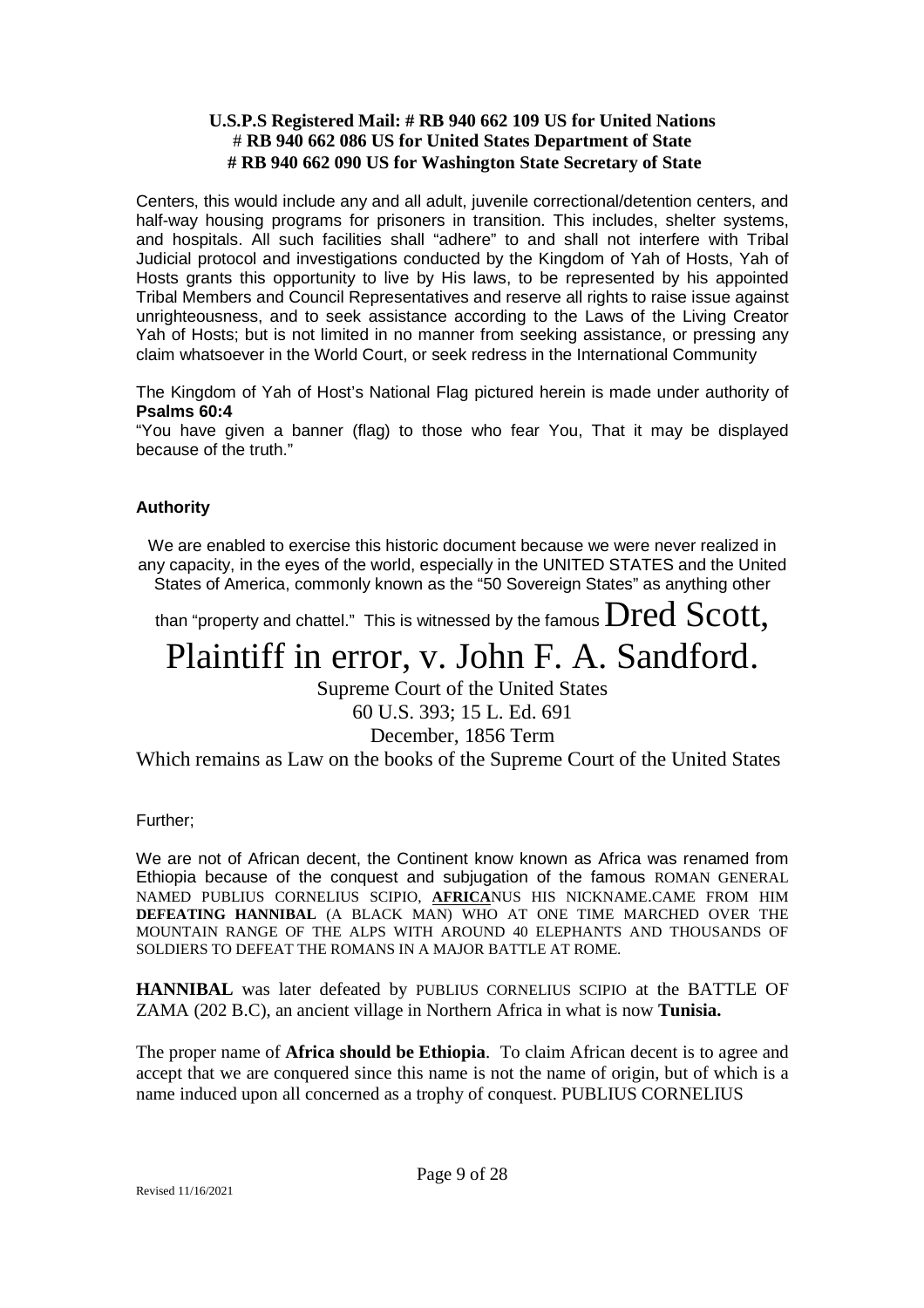Centers, this would include any and all adult, juvenile correctional/detention centers, and half-way housing programs for prisoners in transition. This includes, shelter systems, and hospitals. All such facilities shall "adhere" to and shall not interfere with Tribal Judicial protocol and investigations conducted by the Kingdom of Yah of Hosts, Yah of Hosts grants this opportunity to live by His laws, to be represented by his appointed Tribal Members and Council Representatives and reserve all rights to raise issue against unrighteousness, and to seek assistance according to the Laws of the Living Creator Yah of Hosts; but is not limited in no manner from seeking assistance, or pressing any claim whatsoever in the World Court, or seek redress in the International Community

The Kingdom of Yah of Host's National Flag pictured herein is made under authority of **Psalms 60:4**

"You have given a banner (flag) to those who fear You, That it may be displayed because of the truth."

### **Authority**

We are enabled to exercise this historic document because we were never realized in any capacity, in the eyes of the world, especially in the UNITED STATES and the United States of America, commonly known as the "50 Sovereign States" as anything other

than "property and chattel." This is witnessed by the famous  $\bold{Dred}$   $\bold{Scott.}$ 

## Plaintiff in error, v. John F. A. Sandford.

Supreme Court of the United States

60 U.S. 393; 15 L. Ed. 691

December, 1856 Term

Which remains as Law on the books of the Supreme Court of the United States

Further;

We are not of African decent, the Continent know known as Africa was renamed from Ethiopia because of the conquest and subjugation of the famous ROMAN GENERAL NAMED PUBLIUS CORNELIUS SCIPIO, **AFRICA**NUS HIS NICKNAME.CAME FROM HIM **DEFEATING HANNIBAL** (A BLACK MAN) WHO AT ONE TIME MARCHED OVER THE MOUNTAIN RANGE OF THE ALPS WITH AROUND 40 ELEPHANTS AND THOUSANDS OF SOLDIERS TO DEFEAT THE ROMANS IN A MAJOR BATTLE AT ROME.

**HANNIBAL** was later defeated by PUBLIUS CORNELIUS SCIPIO at the BATTLE OF ZAMA (202 B.C), an ancient village in Northern Africa in what is now **Tunisia.**

The proper name of **Africa should be Ethiopia**. To claim African decent is to agree and accept that we are conquered since this name is not the name of origin, but of which is a name induced upon all concerned as a trophy of conquest. PUBLIUS CORNELIUS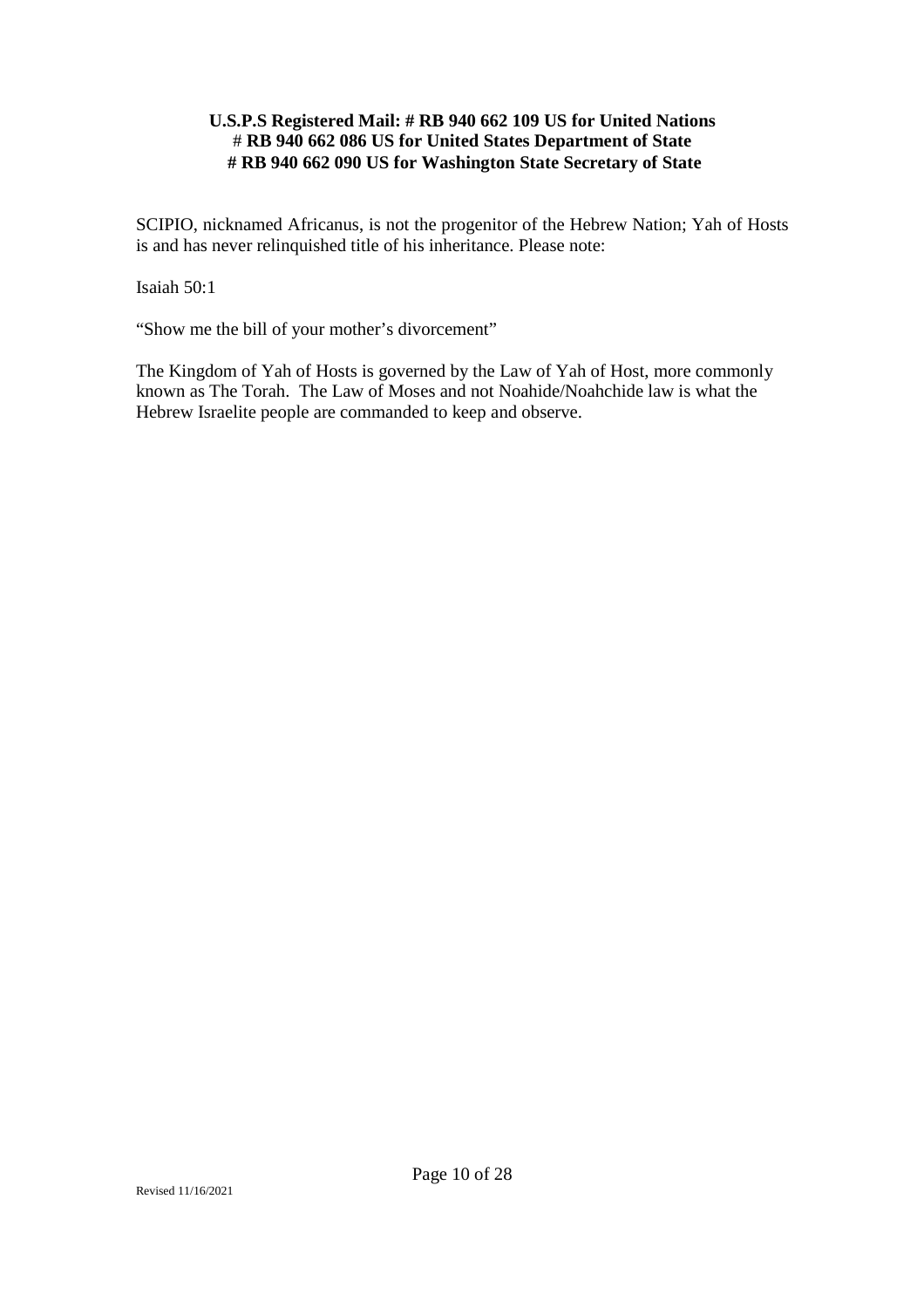SCIPIO, nicknamed Africanus, is not the progenitor of the Hebrew Nation; Yah of Hosts is and has never relinquished title of his inheritance. Please note:

Isaiah 50:1

"Show me the bill of your mother's divorcement"

The Kingdom of Yah of Hosts is governed by the Law of Yah of Host, more commonly known as The Torah. The Law of Moses and not Noahide/Noahchide law is what the Hebrew Israelite people are commanded to keep and observe.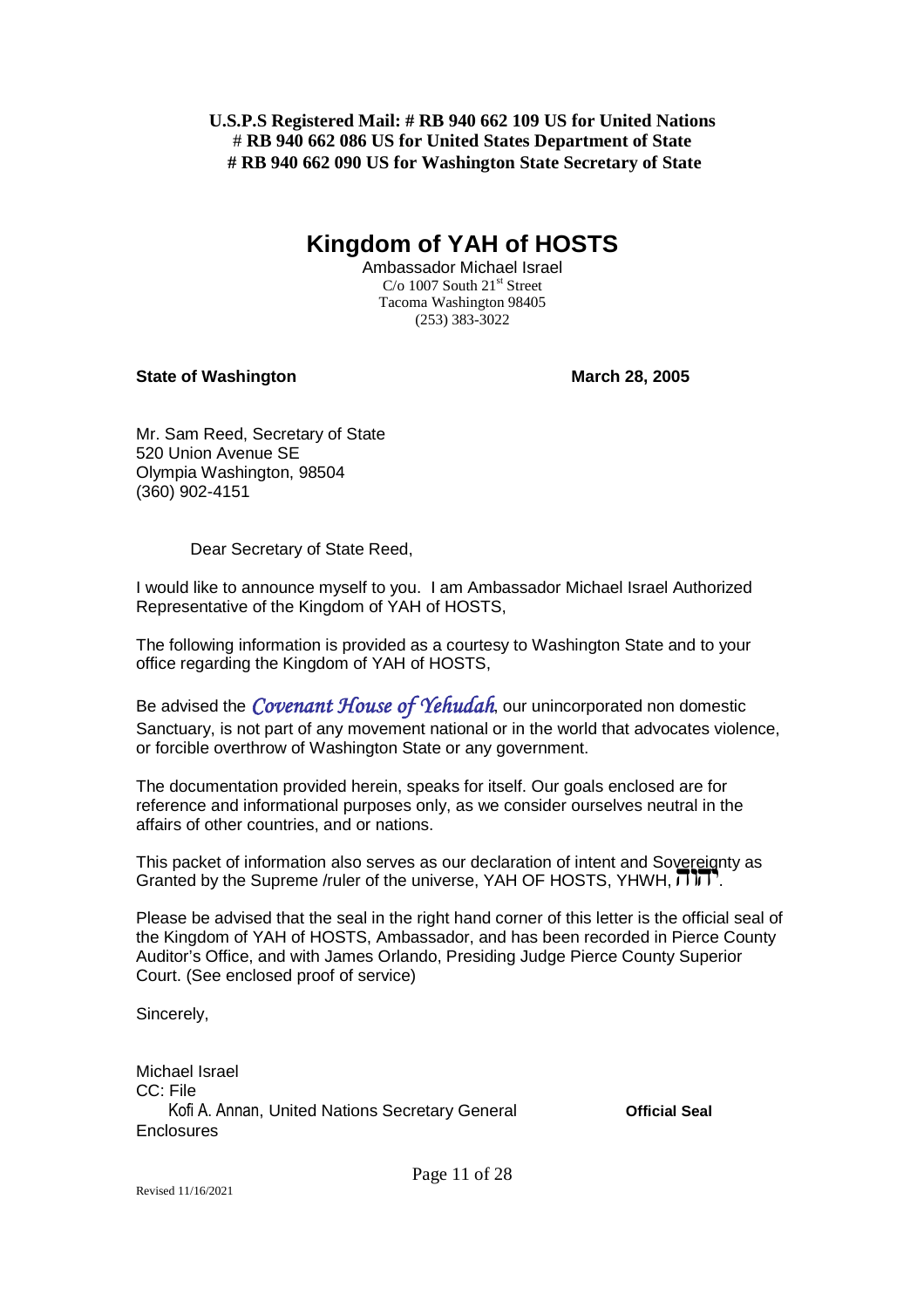## **Kingdom of YAH of HOSTS**

Ambassador Michael Israel  $C/O$  1007 South 21<sup>st</sup> Street Tacoma Washington 98405 (253) 383-3022

### **State of Washington March 28, 2005**

Mr. Sam Reed, Secretary of State 520 Union Avenue SE Olympia Washington, 98504 (360) 902-4151

Dear Secretary of State Reed,

I would like to announce myself to you. I am Ambassador Michael Israel Authorized Representative of the Kingdom of YAH of HOSTS,

The following information is provided as a courtesy to Washington State and to your office regarding the Kingdom of YAH of HOSTS,

Be advised the *Covenant House of Yehudah*, our unincorporated non domestic Sanctuary, is not part of any movement national or in the world that advocates violence, or forcible overthrow of Washington State or any government.

The documentation provided herein, speaks for itself. Our goals enclosed are for reference and informational purposes only, as we consider ourselves neutral in the affairs of other countries, and or nations.

This packet of information also serves as our declaration of intent and Sovereignty as Granted by the Supreme /ruler of the universe, YAH OF HOSTS, YHWH,  $\overline{J}$  $\overline{J}$ .

Please be advised that the seal in the right hand corner of this letter is the official seal of the Kingdom of YAH of HOSTS, Ambassador, and has been recorded in Pierce County Auditor's Office, and with James Orlando, Presiding Judge Pierce County Superior Court. (See enclosed proof of service)

Sincerely,

Michael Israel CC: File Kofi A. Annan, United Nations Secretary General **Official Seal Enclosures**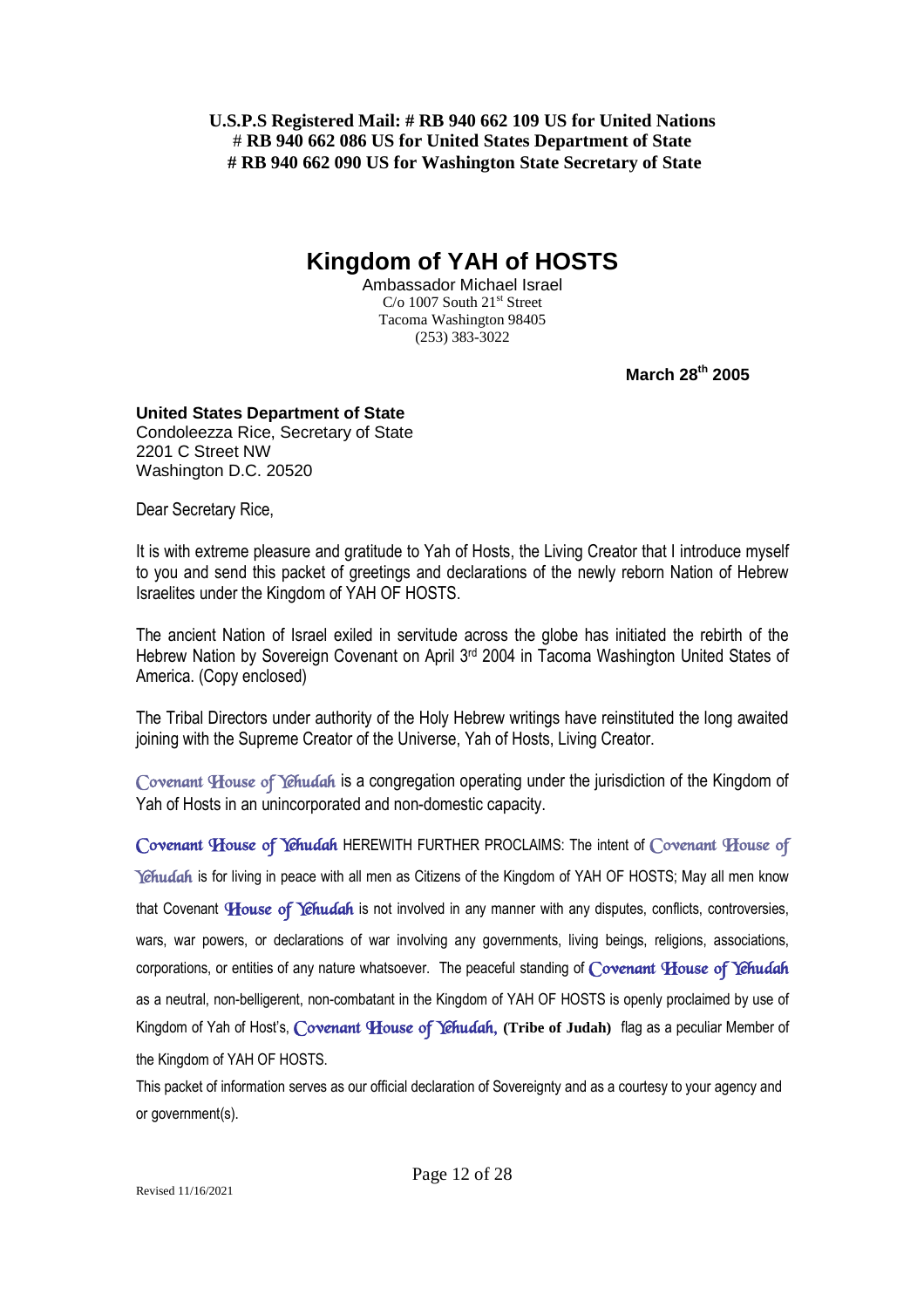**Kingdom of YAH of HOSTS**

Ambassador Michael Israel  $C/O$  1007 South  $21<sup>st</sup>$  Street Tacoma Washington 98405 (253) 383-3022

**March 28th 2005**

### **United States Department of State**

Condoleezza Rice, Secretary of State 2201 C Street NW Washington D.C. 20520

Dear Secretary Rice,

It is with extreme pleasure and gratitude to Yah of Hosts, the Living Creator that I introduce myself to you and send this packet of greetings and declarations of the newly reborn Nation of Hebrew Israelites under the Kingdom of YAH OF HOSTS.

The ancient Nation of Israel exiled in servitude across the globe has initiated the rebirth of the Hebrew Nation by Sovereign Covenant on April 3rd 2004 in Tacoma Washington United States of America. (Copy enclosed)

The Tribal Directors under authority of the Holy Hebrew writings have reinstituted the long awaited joining with the Supreme Creator of the Universe, Yah of Hosts, Living Creator.

*Covenant House of Yehudah* is a congregation operating under the jurisdiction of the Kingdom of Yah of Hosts in an unincorporated and non-domestic capacity.

*Covenant House of Yehudah* HEREWITH FURTHER PROCLAIMS: The intent of *Covenant House of* Yehudah is for living in peace with all men as Citizens of the Kingdom of YAH OF HOSTS; May all men know that Covenant *House of Yehudah* is not involved in any manner with any disputes, conflicts, controversies, wars, war powers, or declarations of war involving any governments, living beings, religions, associations, corporations, or entities of any nature whatsoever. The peaceful standing of *Covenant House of Yehudah* as a neutral, non-belligerent, non-combatant in the Kingdom of YAH OF HOSTS is openly proclaimed by use of Kingdom of Yah of Host's, *Covenant House of Yehudah,* **(Tribe of Judah)** flag as a peculiar Member of the Kingdom of YAH OF HOSTS.

This packet of information serves as our official declaration of Sovereignty and as a courtesy to your agency and or government(s).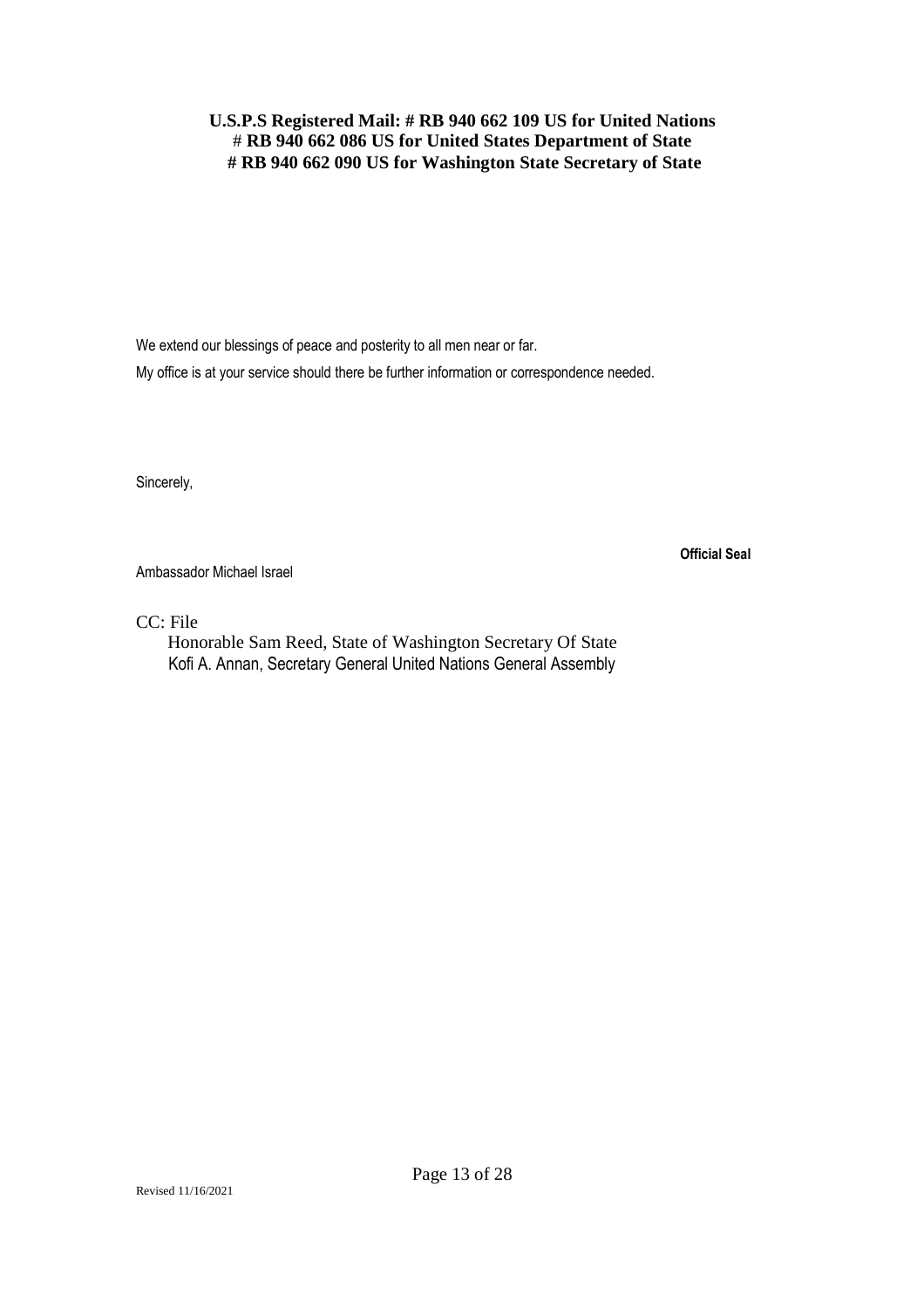We extend our blessings of peace and posterity to all men near or far. My office is at your service should there be further information or correspondence needed.

Sincerely,

Ambassador Michael Israel

CC: File

Honorable Sam Reed, State of Washington Secretary Of State Kofi A. Annan, Secretary General United Nations General Assembly

**Official Seal**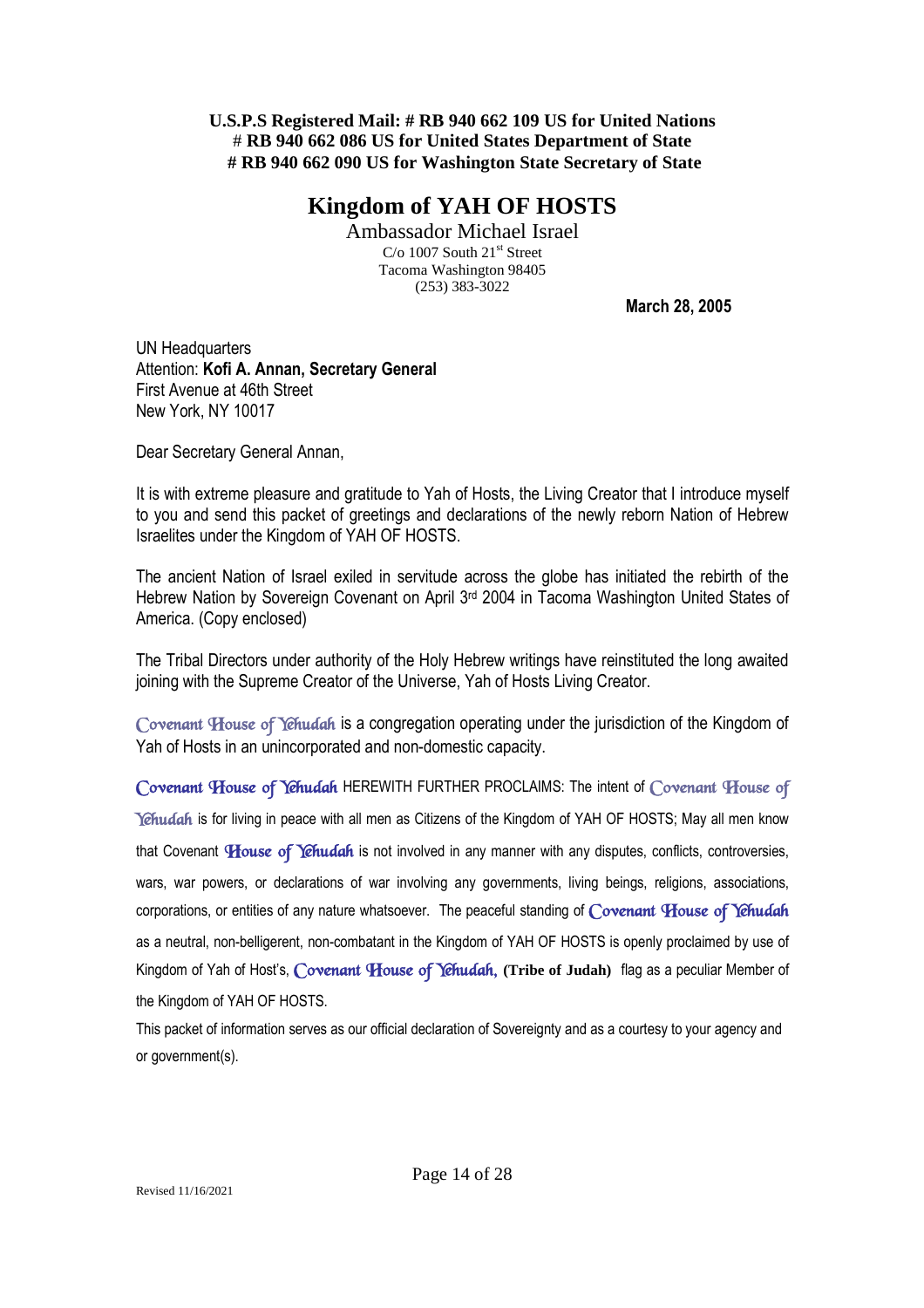### **Kingdom of YAH OF HOSTS**

Ambassador Michael Israel  $C/O$  1007 South 21<sup>st</sup> Street Tacoma Washington 98405 (253) 383-3022

**March 28, 2005**

UN Headquarters Attention: **Kofi A. Annan, Secretary General** First Avenue at 46th Street New York, NY 10017

Dear Secretary General Annan,

It is with extreme pleasure and gratitude to Yah of Hosts, the Living Creator that I introduce myself to you and send this packet of greetings and declarations of the newly reborn Nation of Hebrew Israelites under the Kingdom of YAH OF HOSTS.

The ancient Nation of Israel exiled in servitude across the globe has initiated the rebirth of the Hebrew Nation by Sovereign Covenant on April 3rd 2004 in Tacoma Washington United States of America. (Copy enclosed)

The Tribal Directors under authority of the Holy Hebrew writings have reinstituted the long awaited joining with the Supreme Creator of the Universe, Yah of Hosts Living Creator.

*Covenant House of Yehudah* is a congregation operating under the jurisdiction of the Kingdom of Yah of Hosts in an unincorporated and non-domestic capacity.

*Covenant House of Yehudah* HEREWITH FURTHER PROCLAIMS: The intent of *Covenant House of Yehudah* is for living in peace with all men as Citizens of the Kingdom of YAH OF HOSTS; May all men know that Covenant *House of Yehudah* is not involved in any manner with any disputes, conflicts, controversies, wars, war powers, or declarations of war involving any governments, living beings, religions, associations, corporations, or entities of any nature whatsoever. The peaceful standing of *Covenant House of Yehudah* as a neutral, non-belligerent, non-combatant in the Kingdom of YAH OF HOSTS is openly proclaimed by use of Kingdom of Yah of Host's, *Covenant House of Yehudah,* **(Tribe of Judah)** flag as a peculiar Member of the Kingdom of YAH OF HOSTS.

This packet of information serves as our official declaration of Sovereignty and as a courtesy to your agency and or government(s).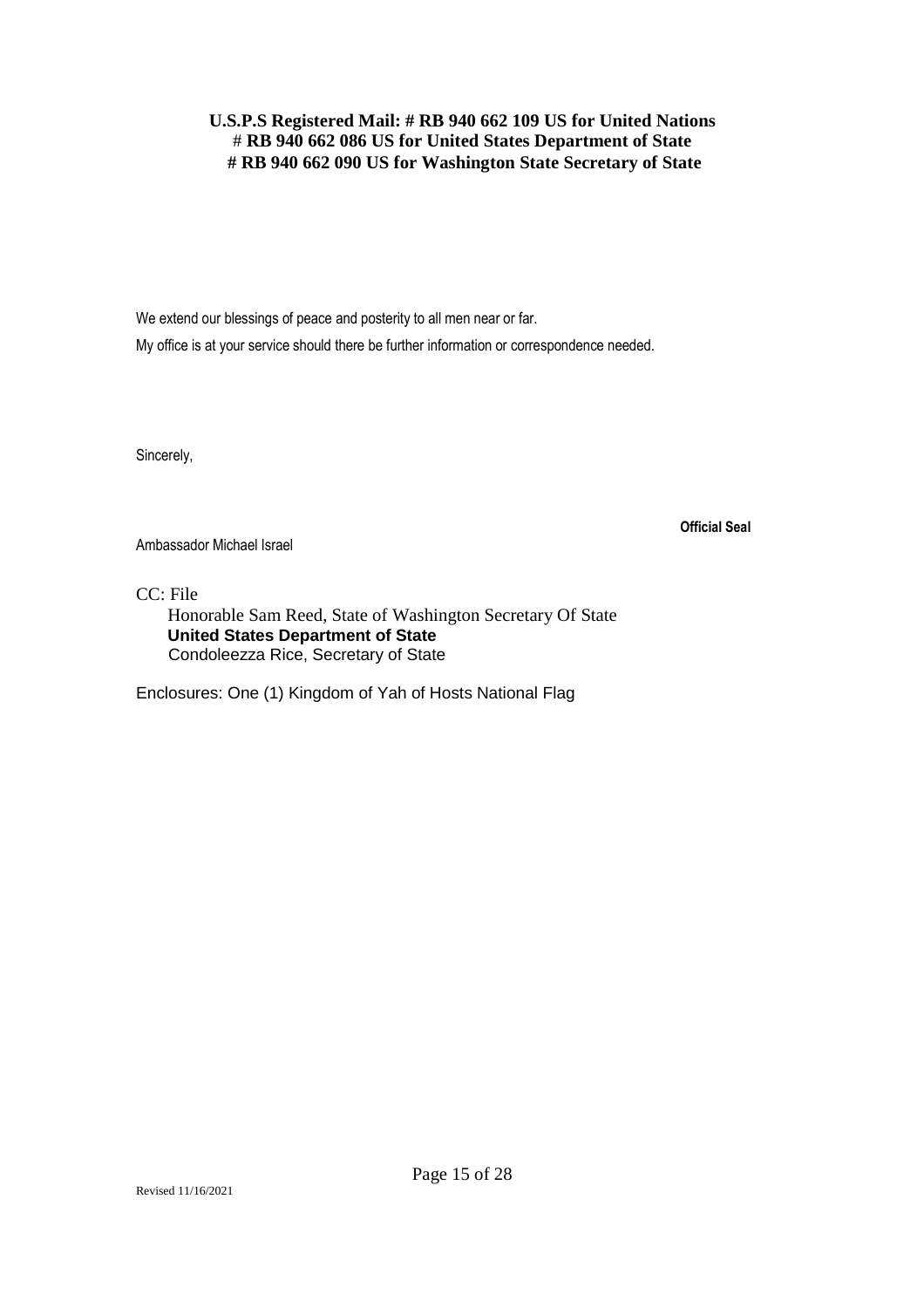We extend our blessings of peace and posterity to all men near or far.

My office is at your service should there be further information or correspondence needed.

Sincerely,

**Official Seal**

Ambassador Michael Israel

CC: File

Honorable Sam Reed, State of Washington Secretary Of State **United States Department of State** Condoleezza Rice, Secretary of State

Enclosures: One (1) Kingdom of Yah of Hosts National Flag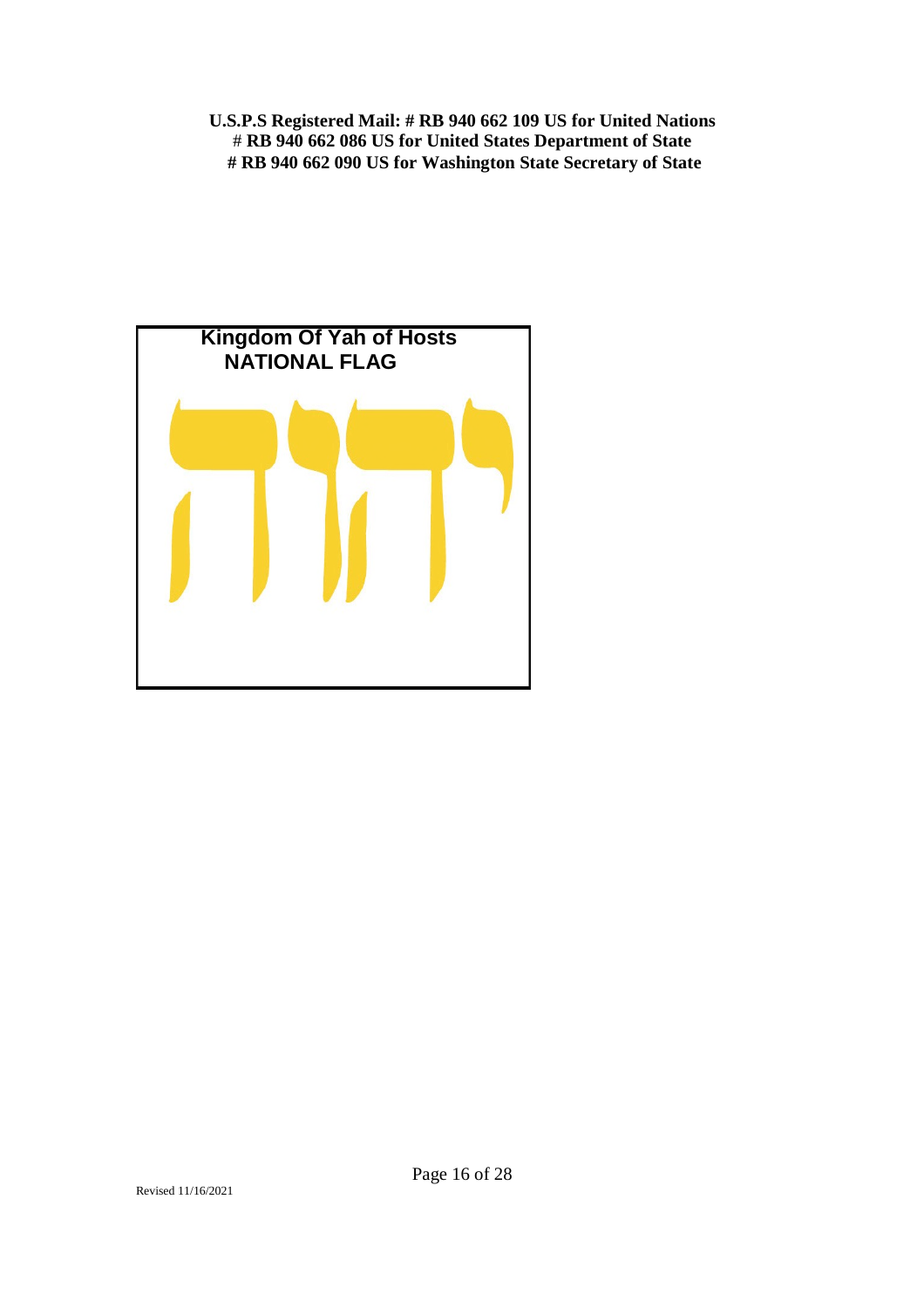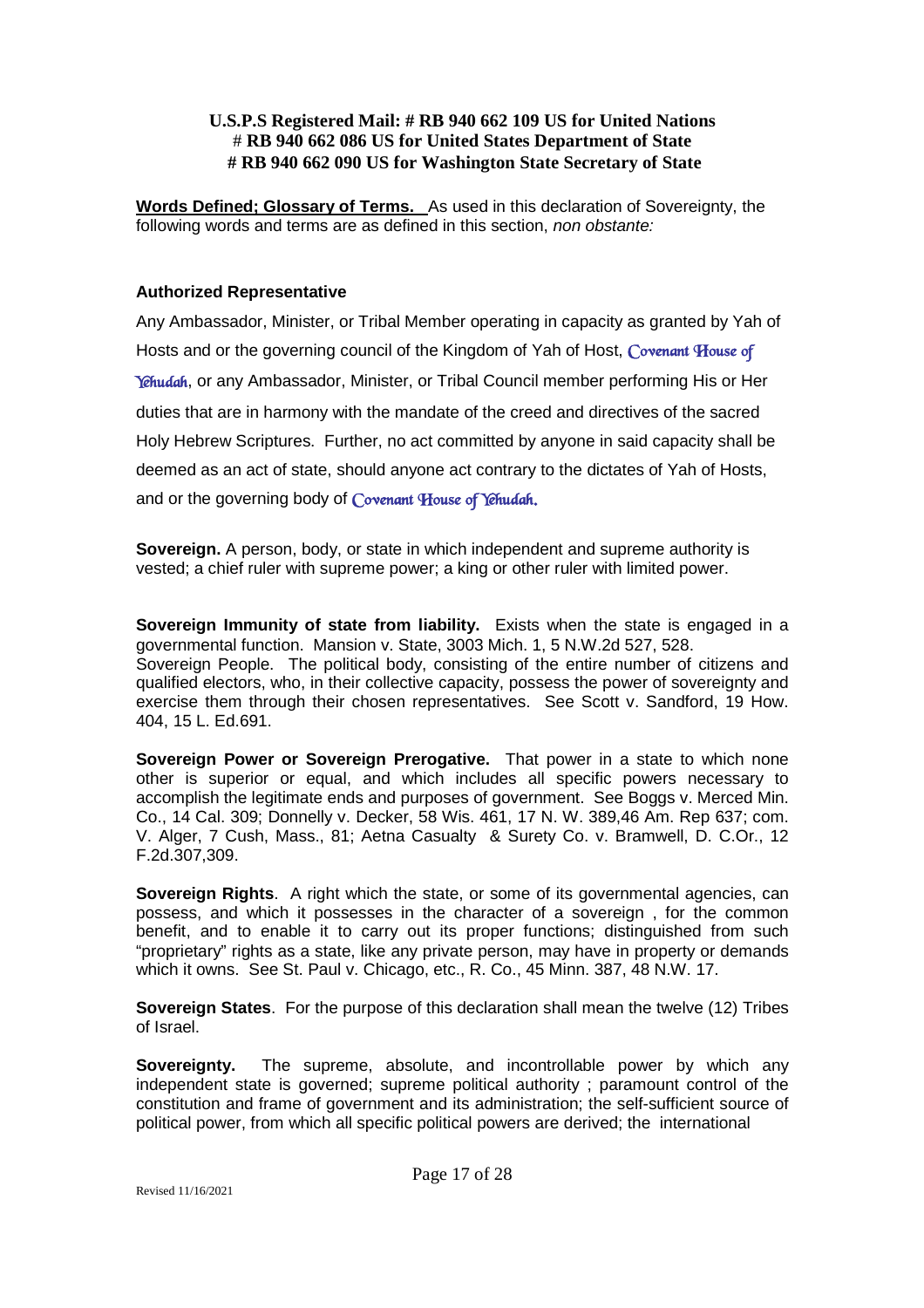**Words Defined; Glossary of Terms.** As used in this declaration of Sovereignty, the following words and terms are as defined in this section, *non obstante:*

### **Authorized Representative**

Any Ambassador, Minister, or Tribal Member operating in capacity as granted by Yah of Hosts and or the governing council of the Kingdom of Yah of Host, *Covenant House of Yehudah*, or any Ambassador, Minister, or Tribal Council member performing His or Her duties that are in harmony with the mandate of the creed and directives of the sacred Holy Hebrew Scriptures. Further, no act committed by anyone in said capacity shall be deemed as an act of state, should anyone act contrary to the dictates of Yah of Hosts, and or the governing body of *Covenant House of Yehudah.*

**Sovereign.** A person, body, or state in which independent and supreme authority is vested; a chief ruler with supreme power; a king or other ruler with limited power.

**Sovereign Immunity of state from liability.** Exists when the state is engaged in a governmental function. Mansion v. State, 3003 Mich. 1, 5 N.W.2d 527, 528. Sovereign People. The political body, consisting of the entire number of citizens and qualified electors, who, in their collective capacity, possess the power of sovereignty and exercise them through their chosen representatives. See Scott v. Sandford, 19 How. 404, 15 L. Ed.691.

**Sovereign Power or Sovereign Prerogative.** That power in a state to which none other is superior or equal, and which includes all specific powers necessary to accomplish the legitimate ends and purposes of government. See Boggs v. Merced Min. Co., 14 Cal. 309; Donnelly v. Decker, 58 Wis. 461, 17 N. W. 389,46 Am. Rep 637; com. V. Alger, 7 Cush, Mass., 81; Aetna Casualty & Surety Co. v. Bramwell, D. C.Or., 12 F.2d.307,309.

**Sovereign Rights.** A right which the state, or some of its governmental agencies, can possess, and which it possesses in the character of a sovereign , for the common benefit, and to enable it to carry out its proper functions; distinguished from such "proprietary" rights as a state, like any private person, may have in property or demands which it owns. See St. Paul v. Chicago, etc., R. Co., 45 Minn. 387, 48 N.W. 17.

**Sovereign States**. For the purpose of this declaration shall mean the twelve (12) Tribes of Israel.

**Sovereignty.** The supreme, absolute, and incontrollable power by which any independent state is governed; supreme political authority ; paramount control of the constitution and frame of government and its administration; the self-sufficient source of political power, from which all specific political powers are derived; the international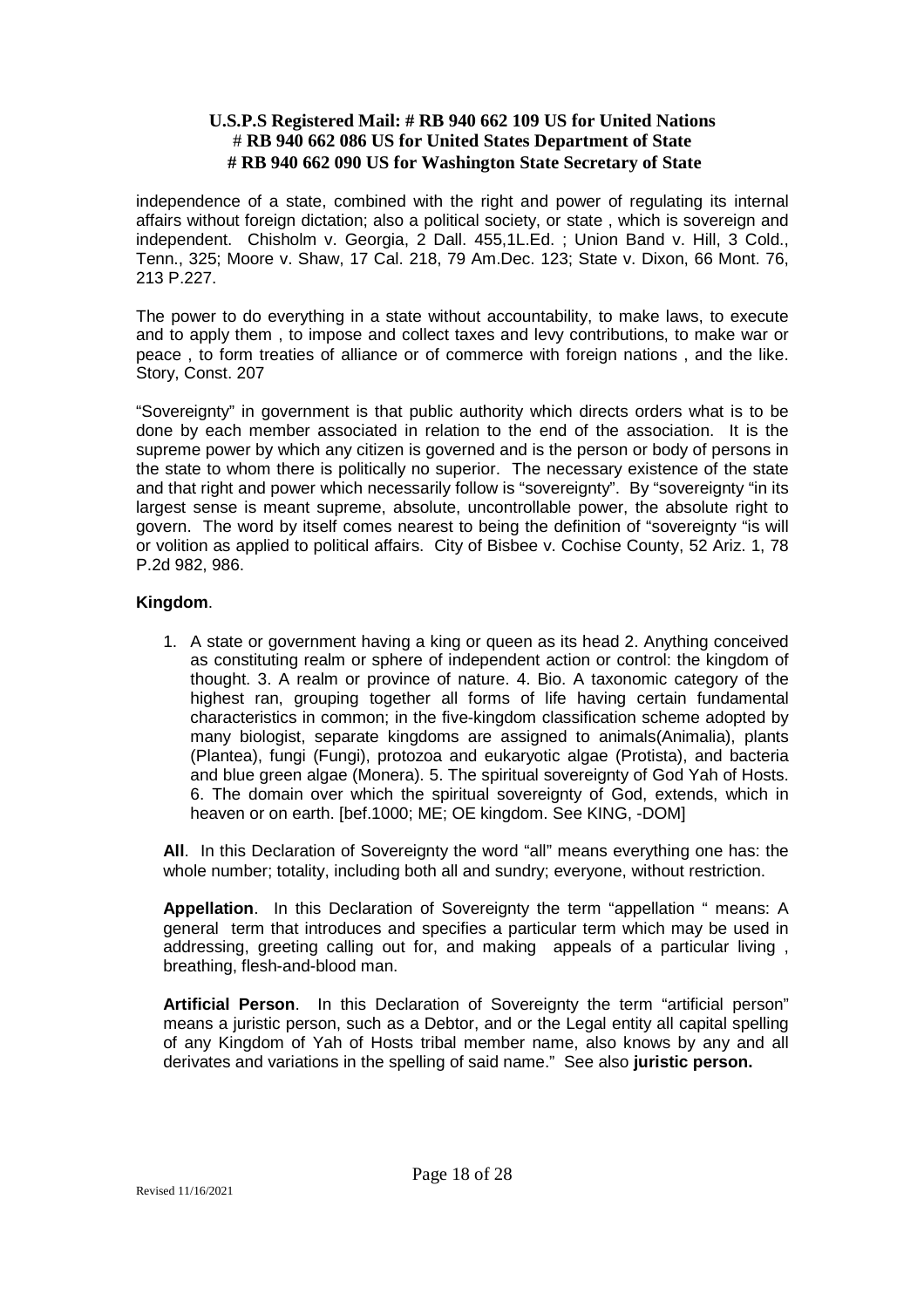independence of a state, combined with the right and power of regulating its internal affairs without foreign dictation; also a political society, or state , which is sovereign and independent. Chisholm v. Georgia, 2 Dall. 455,1L.Ed. ; Union Band v. Hill, 3 Cold., Tenn., 325; Moore v. Shaw, 17 Cal. 218, 79 Am.Dec. 123; State v. Dixon, 66 Mont. 76, 213 P.227.

The power to do everything in a state without accountability, to make laws, to execute and to apply them , to impose and collect taxes and levy contributions, to make war or peace , to form treaties of alliance or of commerce with foreign nations , and the like. Story, Const. 207

"Sovereignty" in government is that public authority which directs orders what is to be done by each member associated in relation to the end of the association. It is the supreme power by which any citizen is governed and is the person or body of persons in the state to whom there is politically no superior. The necessary existence of the state and that right and power which necessarily follow is "sovereignty". By "sovereignty "in its largest sense is meant supreme, absolute, uncontrollable power, the absolute right to govern. The word by itself comes nearest to being the definition of "sovereignty "is will or volition as applied to political affairs. City of Bisbee v. Cochise County, 52 Ariz. 1, 78 P.2d 982, 986.

### **Kingdom**.

1. A state or government having a king or queen as its head 2. Anything conceived as constituting realm or sphere of independent action or control: the kingdom of thought. 3. A realm or province of nature. 4. Bio. A taxonomic category of the highest ran, grouping together all forms of life having certain fundamental characteristics in common; in the five-kingdom classification scheme adopted by many biologist, separate kingdoms are assigned to animals(Animalia), plants (Plantea), fungi (Fungi), protozoa and eukaryotic algae (Protista), and bacteria and blue green algae (Monera). 5. The spiritual sovereignty of God Yah of Hosts. 6. The domain over which the spiritual sovereignty of God, extends, which in heaven or on earth. [bef.1000; ME; OE kingdom. See KING, -DOM]

**All**. In this Declaration of Sovereignty the word "all" means everything one has: the whole number; totality, including both all and sundry; everyone, without restriction.

**Appellation**. In this Declaration of Sovereignty the term "appellation " means: A general term that introduces and specifies a particular term which may be used in addressing, greeting calling out for, and making appeals of a particular living , breathing, flesh-and-blood man.

**Artificial Person**. In this Declaration of Sovereignty the term "artificial person" means a juristic person, such as a Debtor, and or the Legal entity all capital spelling of any Kingdom of Yah of Hosts tribal member name, also knows by any and all derivates and variations in the spelling of said name." See also **juristic person.**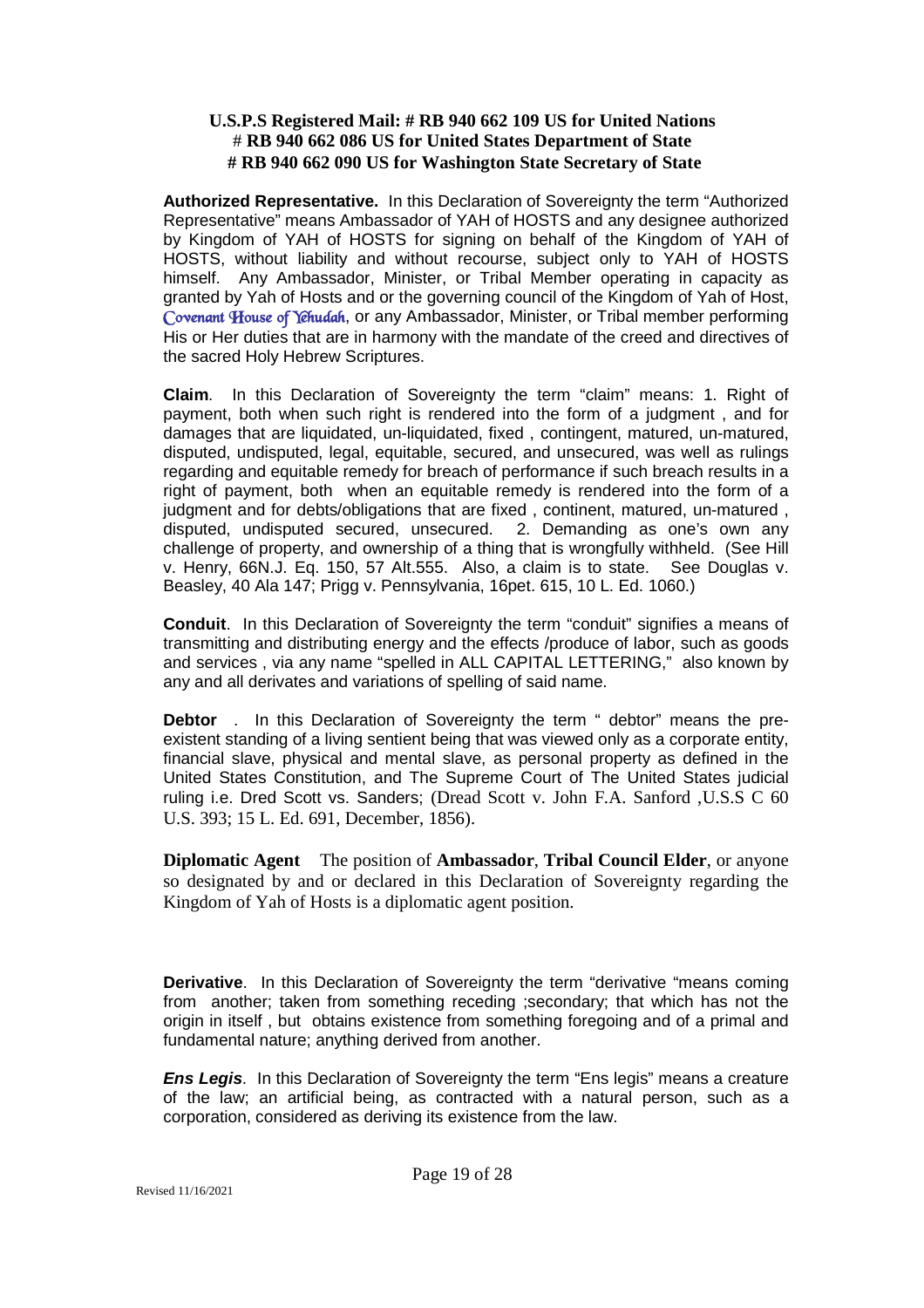**Authorized Representative.** In this Declaration of Sovereignty the term "Authorized Representative" means Ambassador of YAH of HOSTS and any designee authorized by Kingdom of YAH of HOSTS for signing on behalf of the Kingdom of YAH of HOSTS, without liability and without recourse, subject only to YAH of HOSTS himself. Any Ambassador, Minister, or Tribal Member operating in capacity as granted by Yah of Hosts and or the governing council of the Kingdom of Yah of Host, *Covenant House of Yehudah*, or any Ambassador, Minister, or Tribal member performing His or Her duties that are in harmony with the mandate of the creed and directives of the sacred Holy Hebrew Scriptures.

**Claim**. In this Declaration of Sovereignty the term "claim" means: 1. Right of payment, both when such right is rendered into the form of a judgment , and for damages that are liquidated, un-liquidated, fixed , contingent, matured, un-matured, disputed, undisputed, legal, equitable, secured, and unsecured, was well as rulings regarding and equitable remedy for breach of performance if such breach results in a right of payment, both when an equitable remedy is rendered into the form of a judgment and for debts/obligations that are fixed , continent, matured, un-matured , disputed, undisputed secured, unsecured. 2. Demanding as one's own any challenge of property, and ownership of a thing that is wrongfully withheld. (See Hill v. Henry, 66N.J. Eq. 150, 57 Alt.555. Also, a claim is to state. See Douglas v. Beasley, 40 Ala 147; Prigg v. Pennsylvania, 16pet. 615, 10 L. Ed. 1060.)

**Conduit**. In this Declaration of Sovereignty the term "conduit" signifies a means of transmitting and distributing energy and the effects /produce of labor, such as goods and services , via any name "spelled in ALL CAPITAL LETTERING," also known by any and all derivates and variations of spelling of said name.

**Debtor** . In this Declaration of Sovereignty the term " debtor" means the preexistent standing of a living sentient being that was viewed only as a corporate entity, financial slave, physical and mental slave, as personal property as defined in the United States Constitution, and The Supreme Court of The United States judicial ruling i.e. Dred Scott vs. Sanders; (Dread Scott v. John F.A. Sanford ,U.S.S C 60 U.S. 393; 15 L. Ed. 691, December, 1856).

**Diplomatic Agent** The position of **Ambassador**, **Tribal Council Elder**, or anyone so designated by and or declared in this Declaration of Sovereignty regarding the Kingdom of Yah of Hosts is a diplomatic agent position.

**Derivative**. In this Declaration of Sovereignty the term "derivative "means coming from another; taken from something receding ;secondary; that which has not the origin in itself , but obtains existence from something foregoing and of a primal and fundamental nature; anything derived from another.

*Ens Legis*. In this Declaration of Sovereignty the term "Ens legis" means a creature of the law; an artificial being, as contracted with a natural person, such as a corporation, considered as deriving its existence from the law.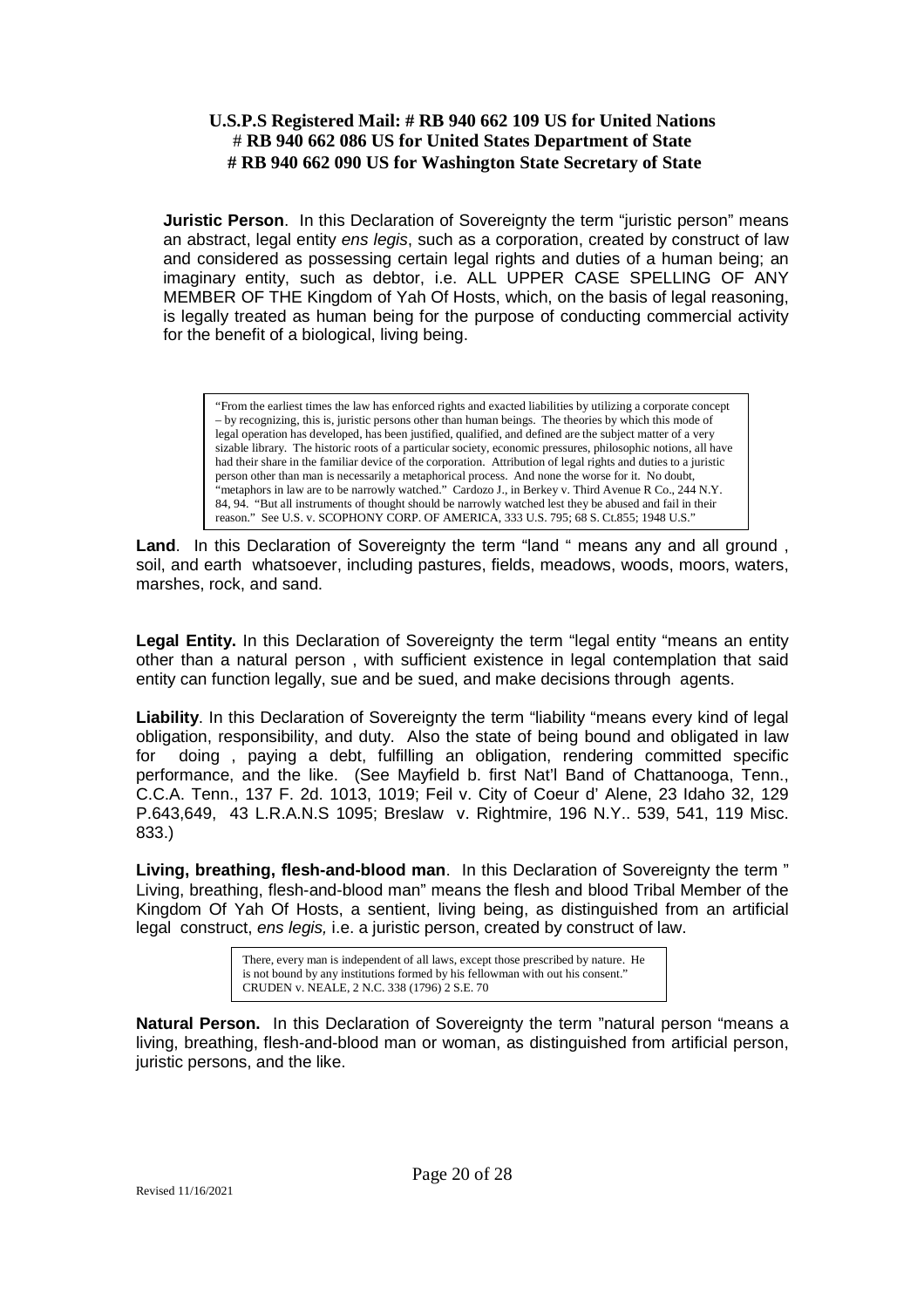**Juristic Person.** In this Declaration of Sovereignty the term "juristic person" means an abstract, legal entity *ens legis*, such as a corporation, created by construct of law and considered as possessing certain legal rights and duties of a human being; an imaginary entity, such as debtor, i.e. ALL UPPER CASE SPELLING OF ANY MEMBER OF THE Kingdom of Yah Of Hosts, which, on the basis of legal reasoning, is legally treated as human being for the purpose of conducting commercial activity for the benefit of a biological, living being.

"From the earliest times the law has enforced rights and exacted liabilities by utilizing a corporate concept – by recognizing, this is, juristic persons other than human beings. The theories by which this mode of legal operation has developed, has been justified, qualified, and defined are the subject matter of a very sizable library. The historic roots of a particular society, economic pressures, philosophic notions, all have had their share in the familiar device of the corporation. Attribution of legal rights and duties to a juristic person other than man is necessarily a metaphorical process. And none the worse for it. No doubt, "metaphors in law are to be narrowly watched." Cardozo J., in Berkey v. Third Avenue R Co., 244 N.Y. 84, 94. "But all instruments of thought should be narrowly watched lest they be abused and fail in their reason." See U.S. v. SCOPHONY CORP. OF AMERICA, 333 U.S. 795; 68 S. Ct.855; 1948 U.S."

**Land**. In this Declaration of Sovereignty the term "land " means any and all ground , soil, and earth whatsoever, including pastures, fields, meadows, woods, moors, waters, marshes, rock, and sand.

**Legal Entity.** In this Declaration of Sovereignty the term "legal entity "means an entity other than a natural person , with sufficient existence in legal contemplation that said entity can function legally, sue and be sued, and make decisions through agents.

**Liability**. In this Declaration of Sovereignty the term "liability "means every kind of legal obligation, responsibility, and duty. Also the state of being bound and obligated in law for doing , paying a debt, fulfilling an obligation, rendering committed specific performance, and the like. (See Mayfield b. first Nat'l Band of Chattanooga, Tenn., C.C.A. Tenn., 137 F. 2d. 1013, 1019; Feil v. City of Coeur d' Alene, 23 Idaho 32, 129 P.643,649, 43 L.R.A.N.S 1095; Breslaw v. Rightmire, 196 N.Y.. 539, 541, 119 Misc. 833.)

**Living, breathing, flesh-and-blood man**. In this Declaration of Sovereignty the term " Living, breathing, flesh-and-blood man" means the flesh and blood Tribal Member of the Kingdom Of Yah Of Hosts, a sentient, living being, as distinguished from an artificial legal construct, *ens legis,* i.e. a juristic person, created by construct of law.

> There, every man is independent of all laws, except those prescribed by nature. He is not bound by any institutions formed by his fellowman with out his consent." CRUDEN v. NEALE, 2 N.C. 338 (1796) 2 S.E. 70

**Natural Person.** In this Declaration of Sovereignty the term "natural person "means a living, breathing, flesh-and-blood man or woman, as distinguished from artificial person, juristic persons, and the like.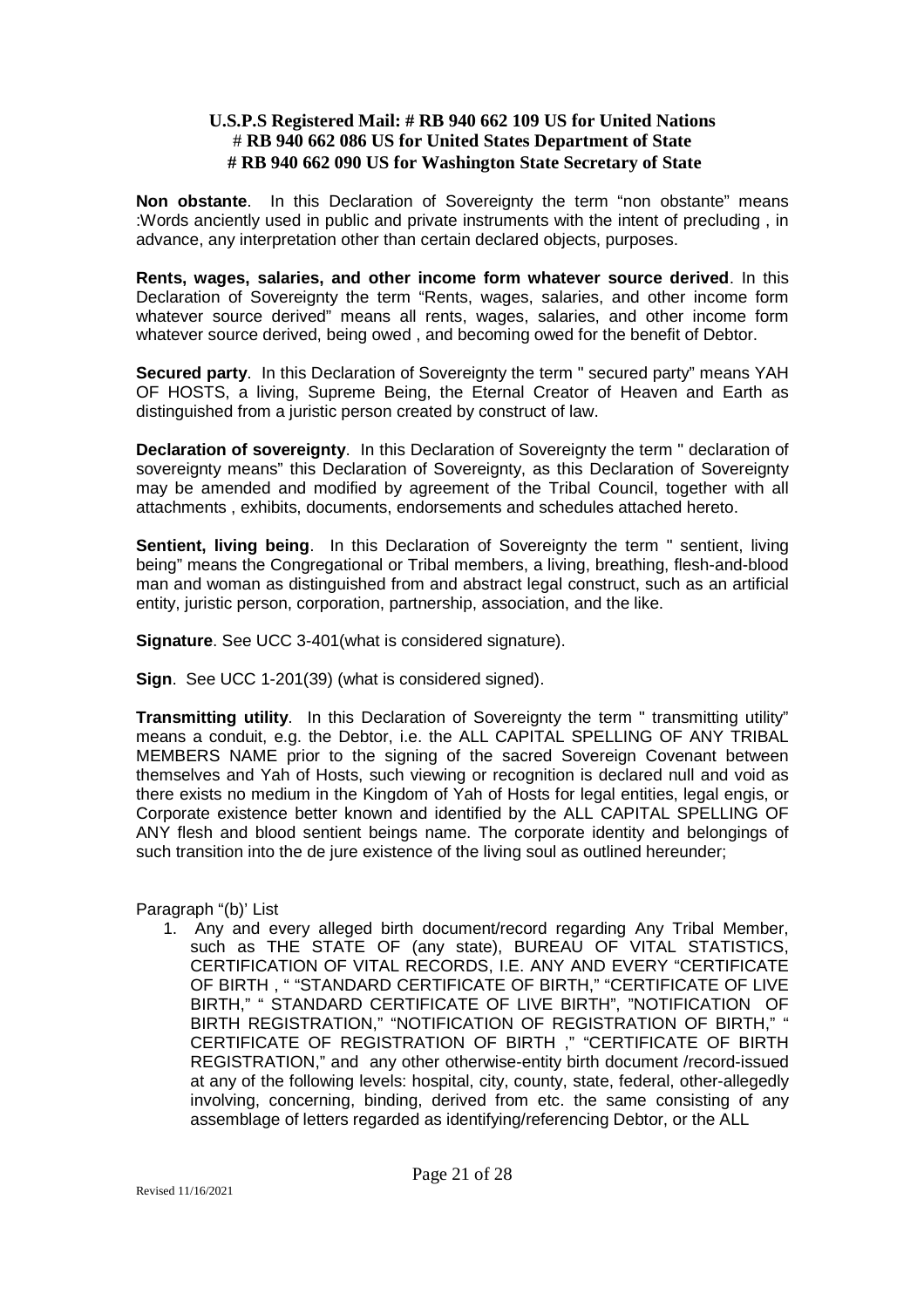**Non obstante**. In this Declaration of Sovereignty the term "non obstante" means :Words anciently used in public and private instruments with the intent of precluding , in advance, any interpretation other than certain declared objects, purposes.

**Rents, wages, salaries, and other income form whatever source derived**. In this Declaration of Sovereignty the term "Rents, wages, salaries, and other income form whatever source derived" means all rents, wages, salaries, and other income form whatever source derived, being owed , and becoming owed for the benefit of Debtor.

**Secured party**. In this Declaration of Sovereignty the term " secured party" means YAH OF HOSTS, a living, Supreme Being, the Eternal Creator of Heaven and Earth as distinguished from a juristic person created by construct of law.

**Declaration of sovereignty**. In this Declaration of Sovereignty the term " declaration of sovereignty means" this Declaration of Sovereignty, as this Declaration of Sovereignty may be amended and modified by agreement of the Tribal Council, together with all attachments , exhibits, documents, endorsements and schedules attached hereto.

**Sentient, living being**. In this Declaration of Sovereignty the term " sentient, living being" means the Congregational or Tribal members, a living, breathing, flesh-and-blood man and woman as distinguished from and abstract legal construct, such as an artificial entity, juristic person, corporation, partnership, association, and the like.

**Signature**. See UCC 3-401 (what is considered signature).

**Sign**. See UCC 1-201(39) (what is considered signed).

**Transmitting utility**. In this Declaration of Sovereignty the term " transmitting utility" means a conduit, e.g. the Debtor, i.e. the ALL CAPITAL SPELLING OF ANY TRIBAL MEMBERS NAME prior to the signing of the sacred Sovereign Covenant between themselves and Yah of Hosts, such viewing or recognition is declared null and void as there exists no medium in the Kingdom of Yah of Hosts for legal entities, legal engis, or Corporate existence better known and identified by the ALL CAPITAL SPELLING OF ANY flesh and blood sentient beings name. The corporate identity and belongings of such transition into the de jure existence of the living soul as outlined hereunder;

Paragraph "(b)' List

1. Any and every alleged birth document/record regarding Any Tribal Member, such as THE STATE OF (any state), BUREAU OF VITAL STATISTICS, CERTIFICATION OF VITAL RECORDS, I.E. ANY AND EVERY "CERTIFICATE OF BIRTH , " "STANDARD CERTIFICATE OF BIRTH," "CERTIFICATE OF LIVE BIRTH," " STANDARD CERTIFICATE OF LIVE BIRTH", "NOTIFICATION OF BIRTH REGISTRATION," "NOTIFICATION OF REGISTRATION OF BIRTH," " CERTIFICATE OF REGISTRATION OF BIRTH ," "CERTIFICATE OF BIRTH REGISTRATION," and any other otherwise-entity birth document /record-issued at any of the following levels: hospital, city, county, state, federal, other-allegedly involving, concerning, binding, derived from etc. the same consisting of any assemblage of letters regarded as identifying/referencing Debtor, or the ALL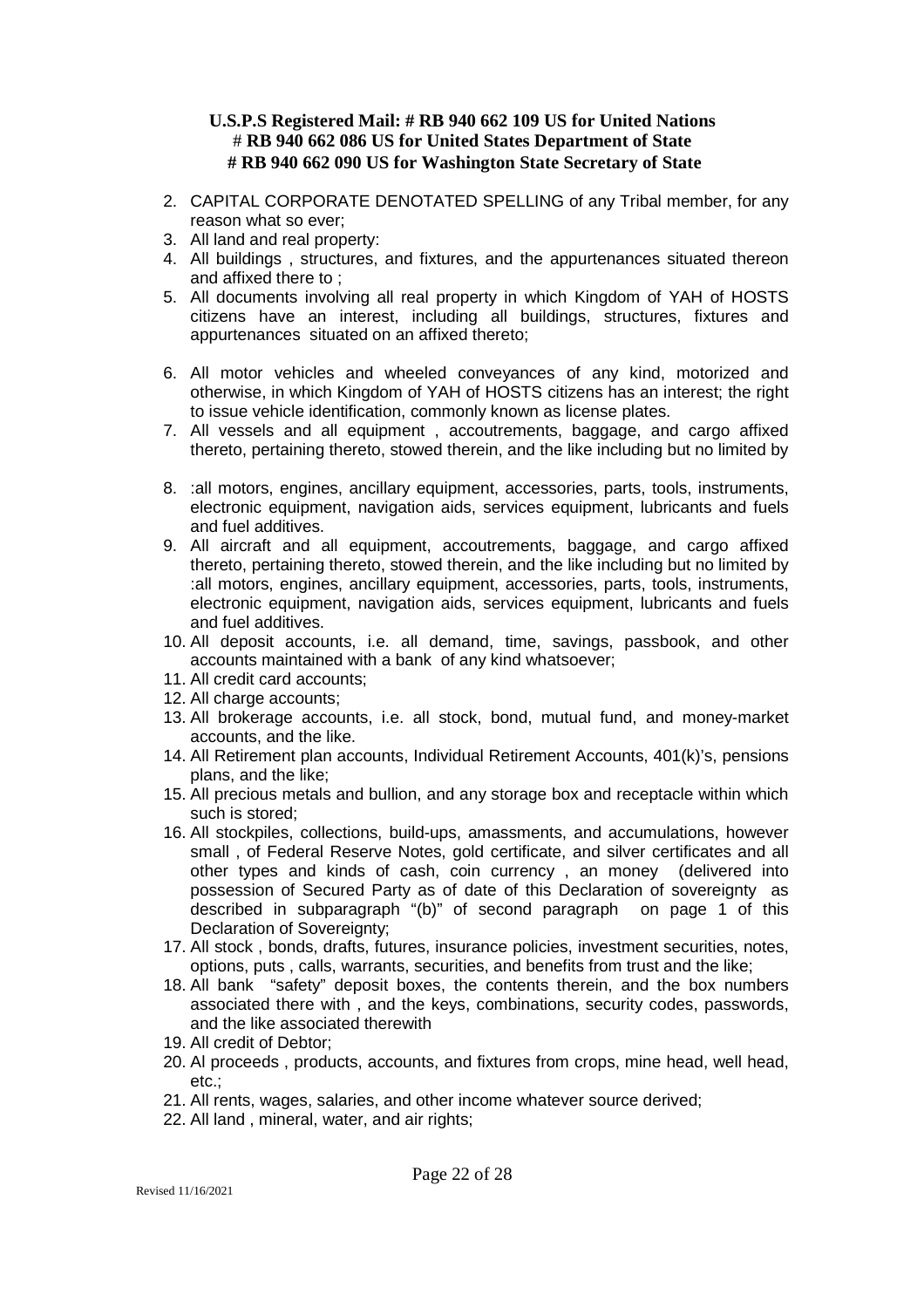- 2. CAPITAL CORPORATE DENOTATED SPELLING of any Tribal member, for any reason what so ever;
- 3. All land and real property:
- 4. All buildings , structures, and fixtures, and the appurtenances situated thereon and affixed there to ;
- 5. All documents involving all real property in which Kingdom of YAH of HOSTS citizens have an interest, including all buildings, structures, fixtures and appurtenances situated on an affixed thereto;
- 6. All motor vehicles and wheeled conveyances of any kind, motorized and otherwise, in which Kingdom of YAH of HOSTS citizens has an interest; the right to issue vehicle identification, commonly known as license plates.
- 7. All vessels and all equipment , accoutrements, baggage, and cargo affixed thereto, pertaining thereto, stowed therein, and the like including but no limited by
- 8. :all motors, engines, ancillary equipment, accessories, parts, tools, instruments, electronic equipment, navigation aids, services equipment, lubricants and fuels and fuel additives.
- 9. All aircraft and all equipment, accoutrements, baggage, and cargo affixed thereto, pertaining thereto, stowed therein, and the like including but no limited by :all motors, engines, ancillary equipment, accessories, parts, tools, instruments, electronic equipment, navigation aids, services equipment, lubricants and fuels and fuel additives.
- 10. All deposit accounts, i.e. all demand, time, savings, passbook, and other accounts maintained with a bank of any kind whatsoever;
- 11. All credit card accounts;
- 12. All charge accounts;
- 13. All brokerage accounts, i.e. all stock, bond, mutual fund, and money-market accounts, and the like.
- 14. All Retirement plan accounts, Individual Retirement Accounts, 401(k)'s, pensions plans, and the like;
- 15. All precious metals and bullion, and any storage box and receptacle within which such is stored;
- 16. All stockpiles, collections, build-ups, amassments, and accumulations, however small , of Federal Reserve Notes, gold certificate, and silver certificates and all other types and kinds of cash, coin currency , an money (delivered into possession of Secured Party as of date of this Declaration of sovereignty as described in subparagraph "(b)" of second paragraph on page 1 of this Declaration of Sovereignty:
- 17. All stock , bonds, drafts, futures, insurance policies, investment securities, notes, options, puts , calls, warrants, securities, and benefits from trust and the like;
- 18. All bank "safety" deposit boxes, the contents therein, and the box numbers associated there with , and the keys, combinations, security codes, passwords, and the like associated therewith
- 19. All credit of Debtor;
- 20. Al proceeds , products, accounts, and fixtures from crops, mine head, well head, etc.;
- 21. All rents, wages, salaries, and other income whatever source derived;
- 22. All land , mineral, water, and air rights;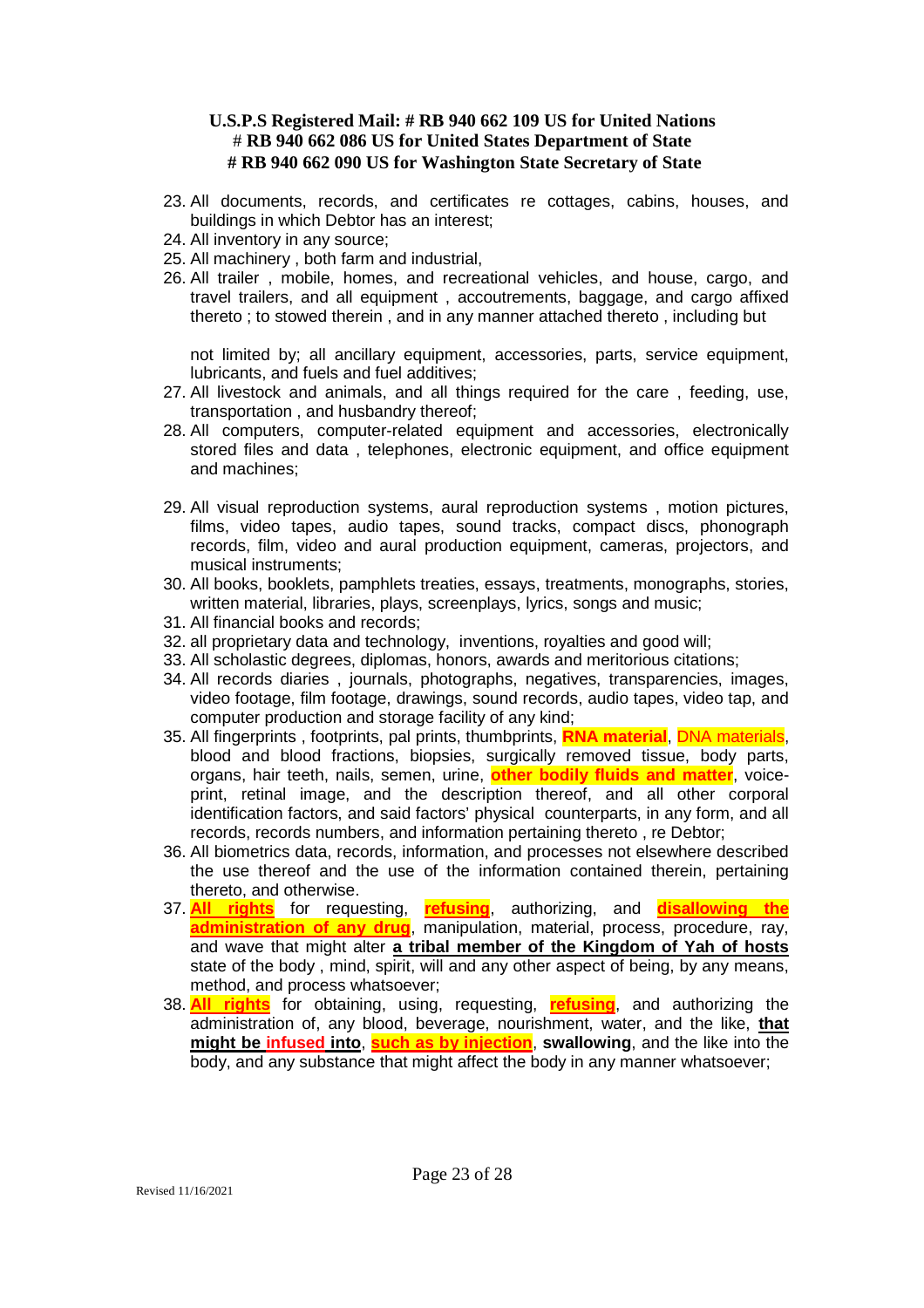- 23. All documents, records, and certificates re cottages, cabins, houses, and buildings in which Debtor has an interest;
- 24. All inventory in any source;
- 25. All machinery , both farm and industrial,
- 26. All trailer , mobile, homes, and recreational vehicles, and house, cargo, and travel trailers, and all equipment , accoutrements, baggage, and cargo affixed thereto ; to stowed therein , and in any manner attached thereto , including but

not limited by; all ancillary equipment, accessories, parts, service equipment, lubricants, and fuels and fuel additives;

- 27. All livestock and animals, and all things required for the care , feeding, use, transportation , and husbandry thereof;
- 28. All computers, computer-related equipment and accessories, electronically stored files and data , telephones, electronic equipment, and office equipment and machines;
- 29. All visual reproduction systems, aural reproduction systems , motion pictures, films, video tapes, audio tapes, sound tracks, compact discs, phonograph records, film, video and aural production equipment, cameras, projectors, and musical instruments;
- 30. All books, booklets, pamphlets treaties, essays, treatments, monographs, stories, written material, libraries, plays, screenplays, lyrics, songs and music;
- 31. All financial books and records;
- 32. all proprietary data and technology, inventions, royalties and good will;
- 33. All scholastic degrees, diplomas, honors, awards and meritorious citations;
- 34. All records diaries , journals, photographs, negatives, transparencies, images, video footage, film footage, drawings, sound records, audio tapes, video tap, and computer production and storage facility of any kind;
- 35. All fingerprints , footprints, pal prints, thumbprints, **RNA material**, DNA materials, blood and blood fractions, biopsies, surgically removed tissue, body parts, organs, hair teeth, nails, semen, urine, **other bodily fluids and matter**, voiceprint, retinal image, and the description thereof, and all other corporal identification factors, and said factors' physical counterparts, in any form, and all records, records numbers, and information pertaining thereto , re Debtor;
- 36. All biometrics data, records, information, and processes not elsewhere described the use thereof and the use of the information contained therein, pertaining thereto, and otherwise.
- 37. **All rights** for requesting, **refusing**, authorizing, and **disallowing the administration of any drug**, manipulation, material, process, procedure, ray, and wave that might alter **a tribal member of the Kingdom of Yah of hosts** state of the body , mind, spirit, will and any other aspect of being, by any means, method, and process whatsoever;
- 38. **All rights** for obtaining, using, requesting, **refusing**, and authorizing the administration of, any blood, beverage, nourishment, water, and the like, **that might be infused into**, **such as by injection**, **swallowing**, and the like into the body, and any substance that might affect the body in any manner whatsoever;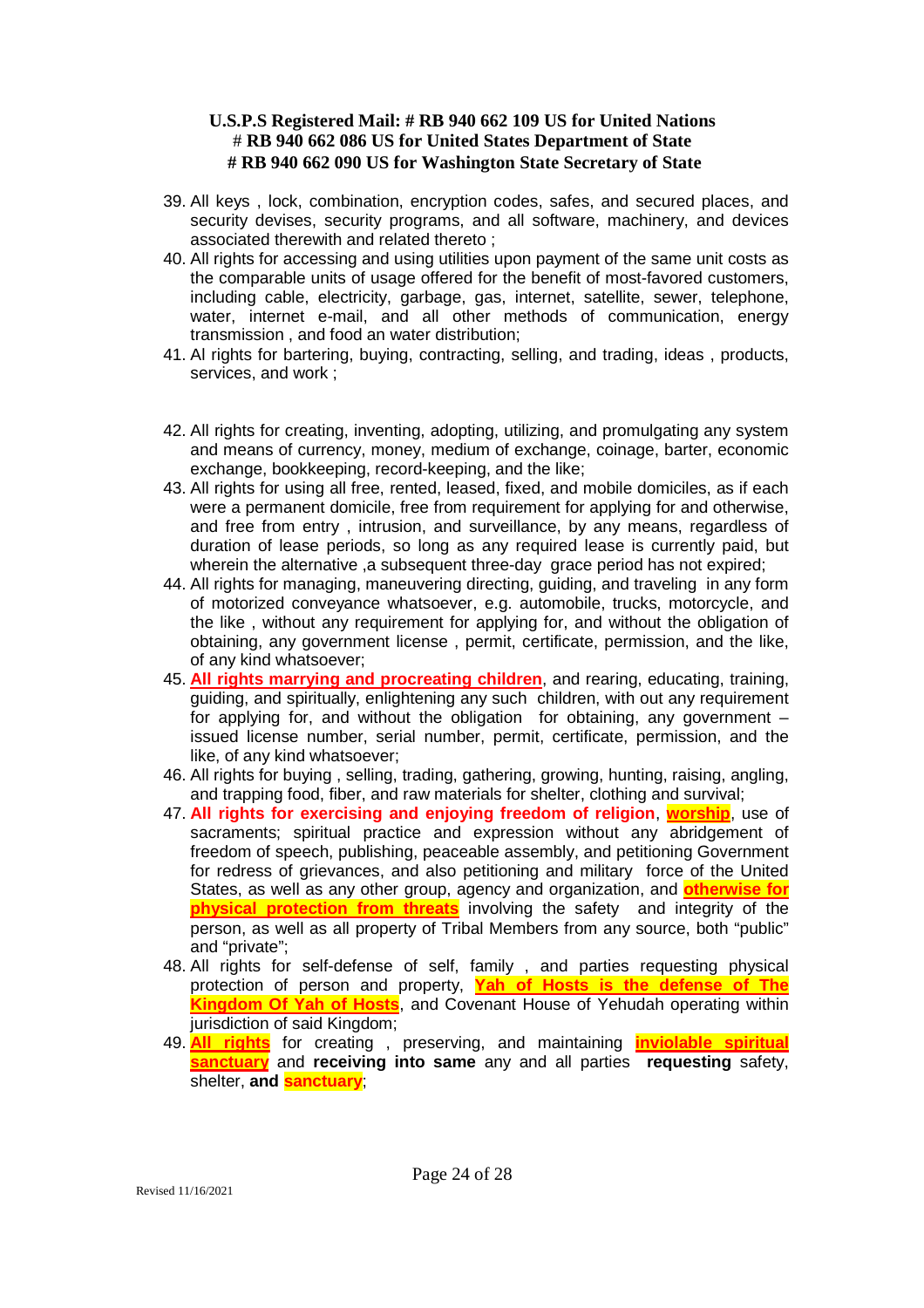- 39. All keys , lock, combination, encryption codes, safes, and secured places, and security devises, security programs, and all software, machinery, and devices associated therewith and related thereto ;
- 40. All rights for accessing and using utilities upon payment of the same unit costs as the comparable units of usage offered for the benefit of most-favored customers, including cable, electricity, garbage, gas, internet, satellite, sewer, telephone, water, internet e-mail, and all other methods of communication, energy transmission , and food an water distribution;
- 41. Al rights for bartering, buying, contracting, selling, and trading, ideas , products, services, and work ;
- 42. All rights for creating, inventing, adopting, utilizing, and promulgating any system and means of currency, money, medium of exchange, coinage, barter, economic exchange, bookkeeping, record-keeping, and the like;
- 43. All rights for using all free, rented, leased, fixed, and mobile domiciles, as if each were a permanent domicile, free from requirement for applying for and otherwise, and free from entry , intrusion, and surveillance, by any means, regardless of duration of lease periods, so long as any required lease is currently paid, but wherein the alternative ,a subsequent three-day grace period has not expired;
- 44. All rights for managing, maneuvering directing, guiding, and traveling in any form of motorized conveyance whatsoever, e.g. automobile, trucks, motorcycle, and the like , without any requirement for applying for, and without the obligation of obtaining, any government license , permit, certificate, permission, and the like, of any kind whatsoever;
- 45. **All rights marrying and procreating children**, and rearing, educating, training, guiding, and spiritually, enlightening any such children, with out any requirement for applying for, and without the obligation for obtaining, any government – issued license number, serial number, permit, certificate, permission, and the like, of any kind whatsoever;
- 46. All rights for buying , selling, trading, gathering, growing, hunting, raising, angling, and trapping food, fiber, and raw materials for shelter, clothing and survival;
- 47. **All rights for exercising and enjoying freedom of religion**, **worship**, use of sacraments; spiritual practice and expression without any abridgement of freedom of speech, publishing, peaceable assembly, and petitioning Government for redress of grievances, and also petitioning and military force of the United States, as well as any other group, agency and organization, and **otherwise for physical protection from threats** involving the safety and integrity of the person, as well as all property of Tribal Members from any source, both "public" and "private";
- 48. All rights for self-defense of self, family , and parties requesting physical protection of person and property, **Yah of Hosts is the defense of The Kingdom Of Yah of Hosts**, and Covenant House of Yehudah operating within jurisdiction of said Kingdom;
- 49. **All rights** for creating , preserving, and maintaining **inviolable spiritual sanctuary** and **receiving into same** any and all parties **requesting** safety, shelter, **and sanctuary**;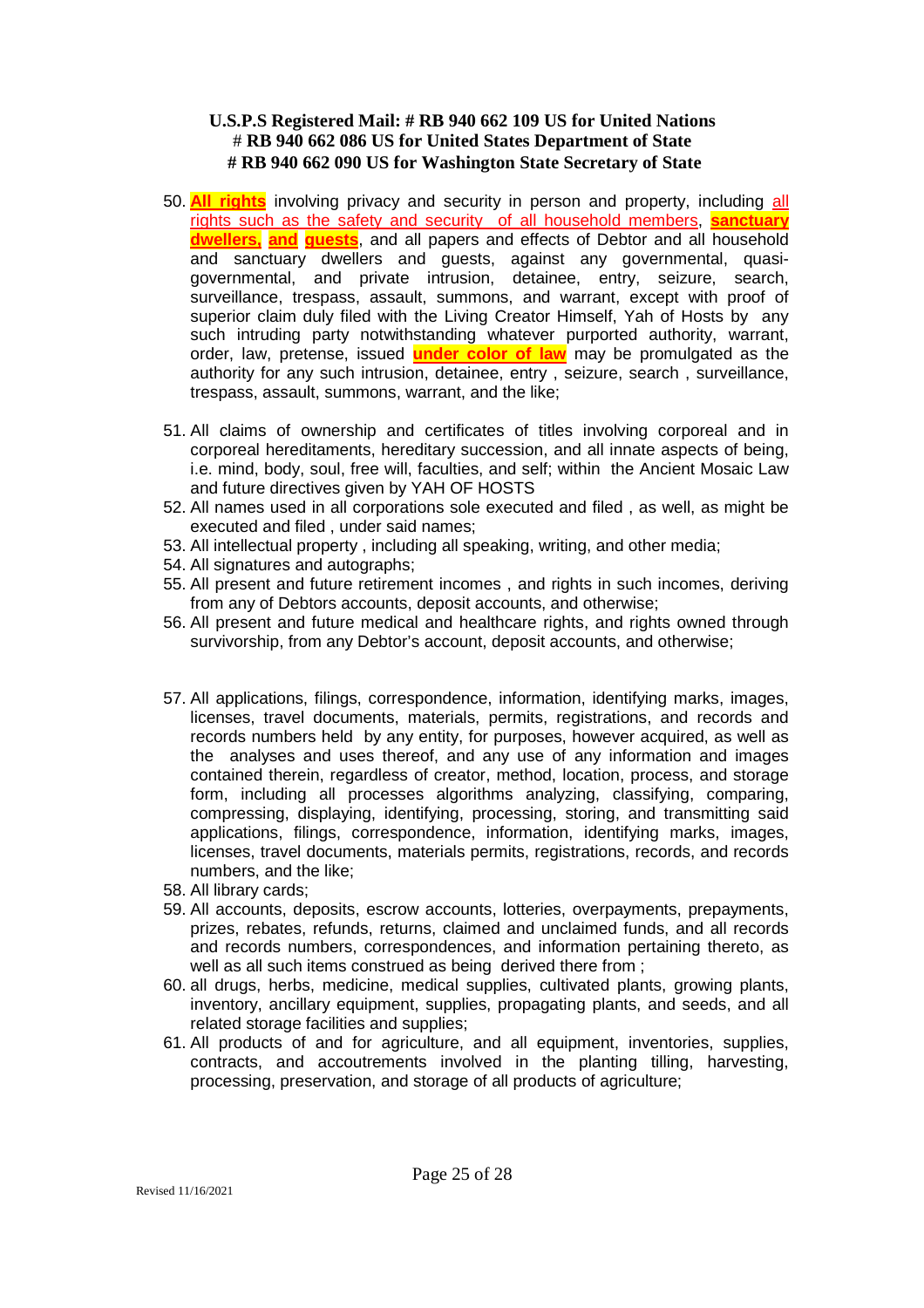- 50. **All rights** involving privacy and security in person and property, including all rights such as the safety and security of all household members, **sanctuary dwellers, and guests**, and all papers and effects of Debtor and all household and sanctuary dwellers and guests, against any governmental, quasigovernmental, and private intrusion, detainee, entry, seizure, search, surveillance, trespass, assault, summons, and warrant, except with proof of superior claim duly filed with the Living Creator Himself, Yah of Hosts by any such intruding party notwithstanding whatever purported authority, warrant, order, law, pretense, issued **under color of law** may be promulgated as the authority for any such intrusion, detainee, entry , seizure, search , surveillance, trespass, assault, summons, warrant, and the like;
- 51. All claims of ownership and certificates of titles involving corporeal and in corporeal hereditaments, hereditary succession, and all innate aspects of being, i.e. mind, body, soul, free will, faculties, and self; within the Ancient Mosaic Law and future directives given by YAH OF HOSTS
- 52. All names used in all corporations sole executed and filed , as well, as might be executed and filed , under said names;
- 53. All intellectual property , including all speaking, writing, and other media;
- 54. All signatures and autographs;
- 55. All present and future retirement incomes , and rights in such incomes, deriving from any of Debtors accounts, deposit accounts, and otherwise;
- 56. All present and future medical and healthcare rights, and rights owned through survivorship, from any Debtor's account, deposit accounts, and otherwise;
- 57. All applications, filings, correspondence, information, identifying marks, images, licenses, travel documents, materials, permits, registrations, and records and records numbers held by any entity, for purposes, however acquired, as well as the analyses and uses thereof, and any use of any information and images contained therein, regardless of creator, method, location, process, and storage form, including all processes algorithms analyzing, classifying, comparing, compressing, displaying, identifying, processing, storing, and transmitting said applications, filings, correspondence, information, identifying marks, images, licenses, travel documents, materials permits, registrations, records, and records numbers, and the like;
- 58. All library cards;
- 59. All accounts, deposits, escrow accounts, lotteries, overpayments, prepayments, prizes, rebates, refunds, returns, claimed and unclaimed funds, and all records and records numbers, correspondences, and information pertaining thereto, as well as all such items construed as being derived there from ;
- 60. all drugs, herbs, medicine, medical supplies, cultivated plants, growing plants, inventory, ancillary equipment, supplies, propagating plants, and seeds, and all related storage facilities and supplies;
- 61. All products of and for agriculture, and all equipment, inventories, supplies, contracts, and accoutrements involved in the planting tilling, harvesting, processing, preservation, and storage of all products of agriculture;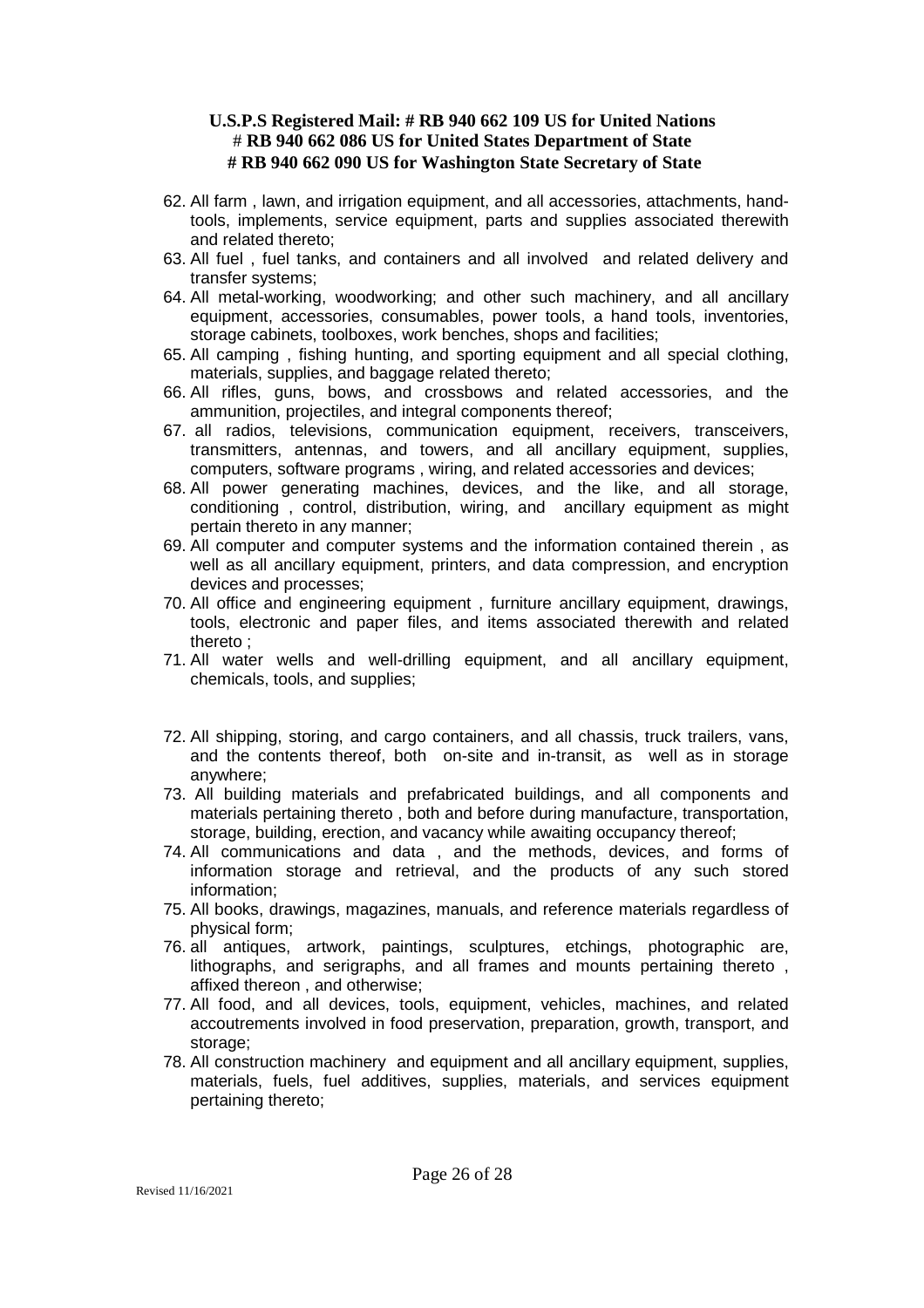- 62. All farm , lawn, and irrigation equipment, and all accessories, attachments, handtools, implements, service equipment, parts and supplies associated therewith and related thereto;
- 63. All fuel , fuel tanks, and containers and all involved and related delivery and transfer systems;
- 64. All metal-working, woodworking; and other such machinery, and all ancillary equipment, accessories, consumables, power tools, a hand tools, inventories, storage cabinets, toolboxes, work benches, shops and facilities;
- 65. All camping , fishing hunting, and sporting equipment and all special clothing, materials, supplies, and baggage related thereto;
- 66. All rifles, guns, bows, and crossbows and related accessories, and the ammunition, projectiles, and integral components thereof;
- 67. all radios, televisions, communication equipment, receivers, transceivers, transmitters, antennas, and towers, and all ancillary equipment, supplies, computers, software programs , wiring, and related accessories and devices;
- 68. All power generating machines, devices, and the like, and all storage, conditioning , control, distribution, wiring, and ancillary equipment as might pertain thereto in any manner;
- 69. All computer and computer systems and the information contained therein , as well as all ancillary equipment, printers, and data compression, and encryption devices and processes;
- 70. All office and engineering equipment , furniture ancillary equipment, drawings, tools, electronic and paper files, and items associated therewith and related thereto ;
- 71. All water wells and well-drilling equipment, and all ancillary equipment, chemicals, tools, and supplies;
- 72. All shipping, storing, and cargo containers, and all chassis, truck trailers, vans, and the contents thereof, both on-site and in-transit, as well as in storage anywhere;
- 73. All building materials and prefabricated buildings, and all components and materials pertaining thereto , both and before during manufacture, transportation, storage, building, erection, and vacancy while awaiting occupancy thereof;
- 74. All communications and data , and the methods, devices, and forms of information storage and retrieval, and the products of any such stored information;
- 75. All books, drawings, magazines, manuals, and reference materials regardless of physical form;
- 76. all antiques, artwork, paintings, sculptures, etchings, photographic are, lithographs, and serigraphs, and all frames and mounts pertaining thereto , affixed thereon , and otherwise;
- 77. All food, and all devices, tools, equipment, vehicles, machines, and related accoutrements involved in food preservation, preparation, growth, transport, and storage;
- 78. All construction machinery and equipment and all ancillary equipment, supplies, materials, fuels, fuel additives, supplies, materials, and services equipment pertaining thereto;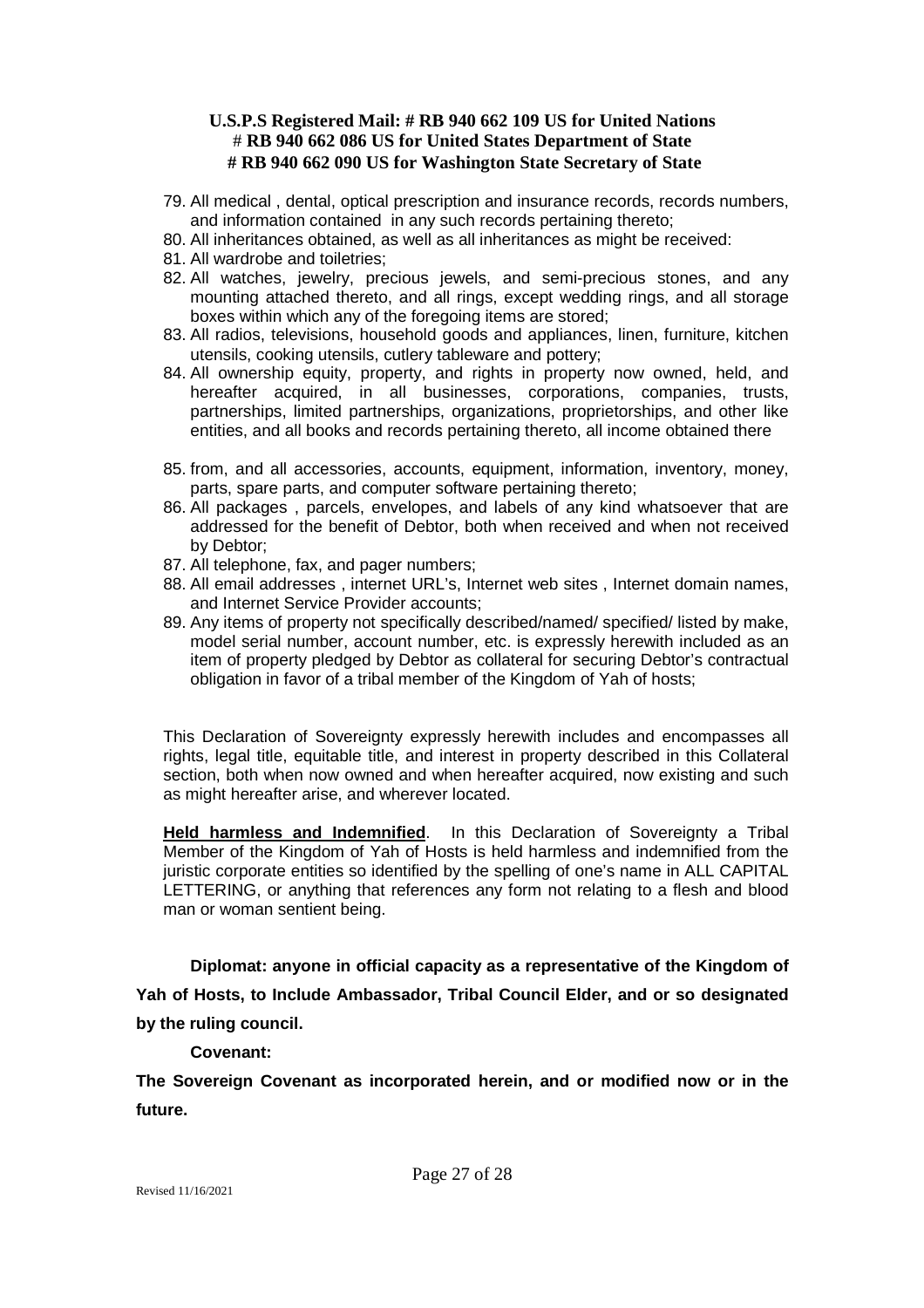- 79. All medical , dental, optical prescription and insurance records, records numbers, and information contained in any such records pertaining thereto;
- 80. All inheritances obtained, as well as all inheritances as might be received:
- 81. All wardrobe and toiletries;
- 82. All watches, jewelry, precious jewels, and semi-precious stones, and any mounting attached thereto, and all rings, except wedding rings, and all storage boxes within which any of the foregoing items are stored;
- 83. All radios, televisions, household goods and appliances, linen, furniture, kitchen utensils, cooking utensils, cutlery tableware and pottery;
- 84. All ownership equity, property, and rights in property now owned, held, and hereafter acquired, in all businesses, corporations, companies, trusts, partnerships, limited partnerships, organizations, proprietorships, and other like entities, and all books and records pertaining thereto, all income obtained there
- 85. from, and all accessories, accounts, equipment, information, inventory, money, parts, spare parts, and computer software pertaining thereto;
- 86. All packages , parcels, envelopes, and labels of any kind whatsoever that are addressed for the benefit of Debtor, both when received and when not received by Debtor;
- 87. All telephone, fax, and pager numbers;
- 88. All email addresses , internet URL's, Internet web sites , Internet domain names, and Internet Service Provider accounts;
- 89. Any items of property not specifically described/named/ specified/ listed by make, model serial number, account number, etc. is expressly herewith included as an item of property pledged by Debtor as collateral for securing Debtor's contractual obligation in favor of a tribal member of the Kingdom of Yah of hosts;

This Declaration of Sovereignty expressly herewith includes and encompasses all rights, legal title, equitable title, and interest in property described in this Collateral section, both when now owned and when hereafter acquired, now existing and such as might hereafter arise, and wherever located.

**Held harmless and Indemnified**. In this Declaration of Sovereignty a Tribal Member of the Kingdom of Yah of Hosts is held harmless and indemnified from the juristic corporate entities so identified by the spelling of one's name in ALL CAPITAL LETTERING, or anything that references any form not relating to a flesh and blood man or woman sentient being.

**Diplomat: anyone in official capacity as a representative of the Kingdom of Yah of Hosts, to Include Ambassador, Tribal Council Elder, and or so designated by the ruling council.**

### **Covenant:**

**The Sovereign Covenant as incorporated herein, and or modified now or in the future.**